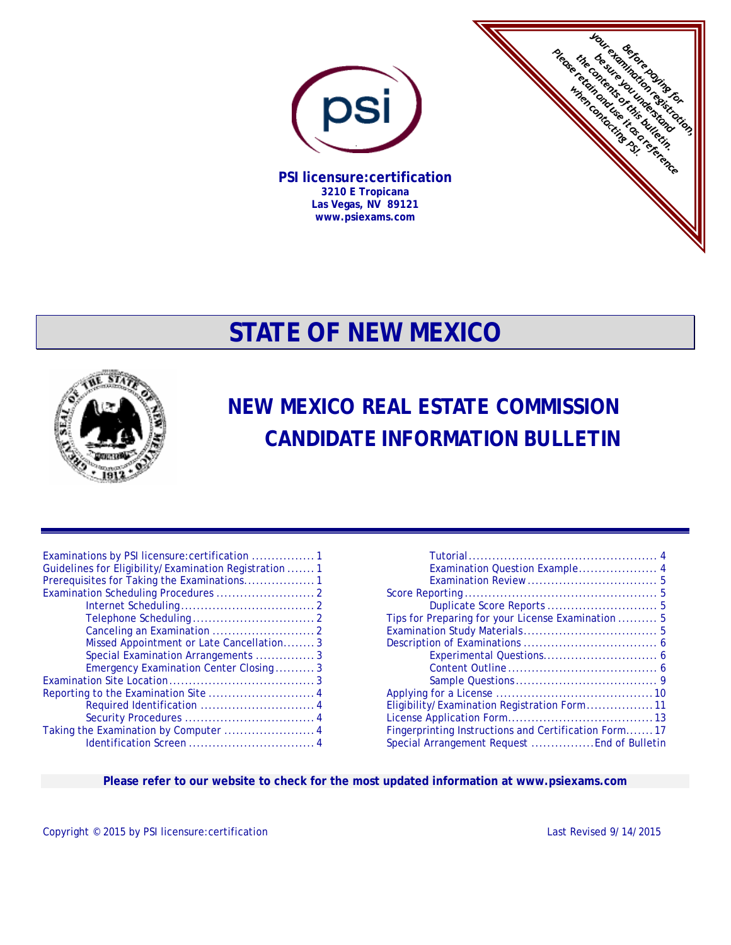

**Las Vegas, NV 89121 www.psiexams.com** 



# **STATE OF NEW MEXICO**



# **NEW MEXICO REAL ESTATE COMMISSION CANDIDATE INFORMATION BULLETIN**

| Guidelines for Eligibility/Examination Registration  1<br>Prerequisites for Taking the Examinations 1 |
|-------------------------------------------------------------------------------------------------------|
|                                                                                                       |
|                                                                                                       |
|                                                                                                       |
|                                                                                                       |
| Missed Appointment or Late Cancellation3                                                              |
| Special Examination Arrangements 3                                                                    |
| Emergency Examination Center Closing3                                                                 |
|                                                                                                       |
|                                                                                                       |
| Required Identification  4                                                                            |
|                                                                                                       |
| Taking the Examination by Computer  4                                                                 |
|                                                                                                       |

| Examination Question Example 4                       |
|------------------------------------------------------|
|                                                      |
|                                                      |
|                                                      |
| Tips for Preparing for your License Examination  5   |
|                                                      |
|                                                      |
|                                                      |
|                                                      |
|                                                      |
|                                                      |
| Eligibility/Examination Registration Form11          |
|                                                      |
| Fingerprinting Instructions and Certification Form17 |
| Special Arrangement Request  End of Bulletin         |

**Please refer to our website to check for the most updated information at www.psiexams.com** 

Copyright © 2015 by PSI licensure: certification Last Revised 9/14/2015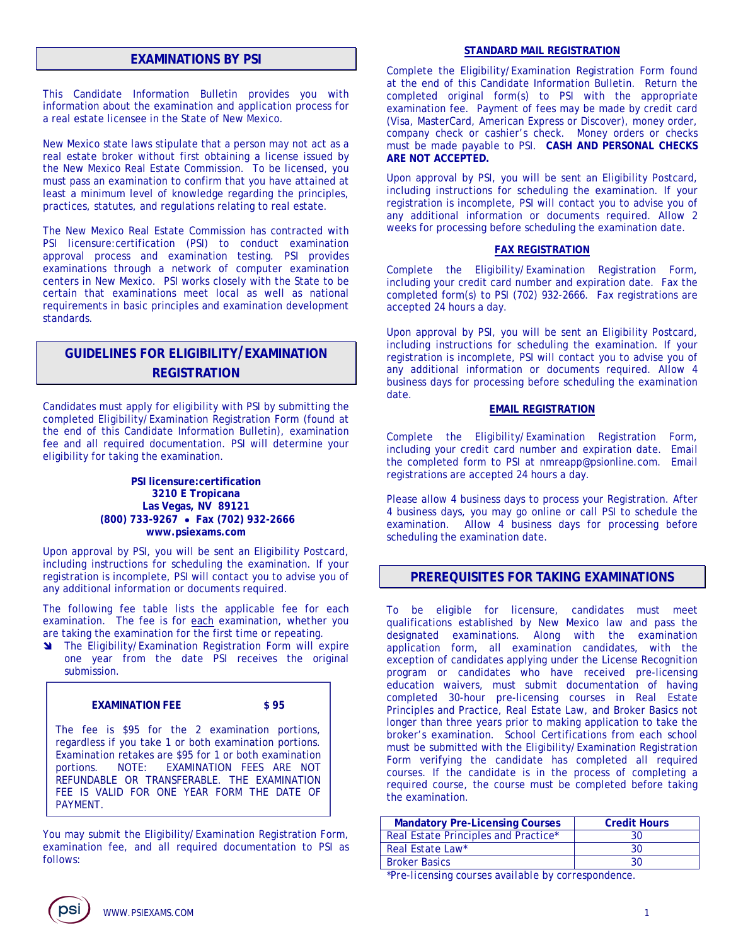# **EXAMINATIONS BY PSI**

This Candidate Information Bulletin provides you with information about the examination and application process for a real estate licensee in the State of New Mexico.

New Mexico state laws stipulate that a person may not act as a real estate broker without first obtaining a license issued by the New Mexico Real Estate Commission. To be licensed, you must pass an examination to confirm that you have attained at least a minimum level of knowledge regarding the principles, practices, statutes, and regulations relating to real estate.

The New Mexico Real Estate Commission has contracted with PSI licensure:certification (PSI) to conduct examination approval process and examination testing. PSI provides examinations through a network of computer examination centers in New Mexico. PSI works closely with the State to be certain that examinations meet local as well as national requirements in basic principles and examination development standards.

# **GUIDELINES FOR ELIGIBILITY/EXAMINATION REGISTRATION**

Candidates must apply for eligibility with PSI by submitting the completed Eligibility/Examination Registration Form (found at the end of this Candidate Information Bulletin), examination fee and all required documentation. PSI will determine your eligibility for taking the examination.

#### **PSI licensure:certification 3210 E Tropicana Las Vegas, NV 89121 (800) 733-9267 Fax (702) 932-2666 www.psiexams.com**

Upon approval by PSI, you will be sent an Eligibility Postcard, including instructions for scheduling the examination. If your registration is incomplete, PSI will contact you to advise you of any additional information or documents required.

The following fee table lists the applicable fee for each examination. The fee is for each examination, whether you are taking the examination for the first time or repeating.

**M** The Eligibility/Examination Registration Form will expire one year from the date PSI receives the original submission.

#### **EXAMINATION FEE \$ 95**

The fee is \$95 for the 2 examination portions, regardless if you take 1 or both examination portions. Examination retakes are \$95 for 1 or both examination portions. NOTE: EXAMINATION FEES ARE NOT REFUNDABLE OR TRANSFERABLE. THE EXAMINATION FEE IS VALID FOR ONE YEAR FORM THE DATE OF PAYMENT.

You may submit the Eligibility/Examination Registration Form, examination fee, and all required documentation to PSI as follows:

#### **STANDARD MAIL REGISTRATION**

Complete the Eligibility/Examination Registration Form found at the end of this Candidate Information Bulletin. Return the completed original form(s) to PSI with the appropriate examination fee. Payment of fees may be made by credit card (Visa, MasterCard, American Express or Discover), money order, company check or cashier's check. Money orders or checks must be made payable to PSI. **CASH AND PERSONAL CHECKS ARE NOT ACCEPTED.** 

Upon approval by PSI, you will be sent an Eligibility Postcard, including instructions for scheduling the examination. If your registration is incomplete, PSI will contact you to advise you of any additional information or documents required. Allow 2 weeks for processing before scheduling the examination date.

#### **FAX REGISTRATION**

Complete the Eligibility/Examination Registration Form, including your credit card number and expiration date. Fax the completed form(s) to PSI (702) 932-2666. Fax registrations are accepted 24 hours a day.

Upon approval by PSI, you will be sent an Eligibility Postcard, including instructions for scheduling the examination. If your registration is incomplete, PSI will contact you to advise you of any additional information or documents required. Allow 4 business days for processing before scheduling the examination date.

#### **EMAIL REGISTRATION**

Complete the Eligibility/Examination Registration Form, including your credit card number and expiration date. Email the completed form to PSI at nmreapp@psionline.com. Email registrations are accepted 24 hours a day.

Please allow 4 business days to process your Registration. After 4 business days, you may go online or call PSI to schedule the examination. Allow 4 business days for processing before scheduling the examination date.

# **PREREQUISITES FOR TAKING EXAMINATIONS**

To be eligible for licensure, candidates must meet qualifications established by New Mexico law and pass the designated examinations. Along with the examination application form, all examination candidates, with the exception of candidates applying under the License Recognition program or candidates who have received pre-licensing education waivers, must submit documentation of having completed 30-hour pre-licensing courses in Real Estate Principles and Practice, Real Estate Law, and Broker Basics not longer than three years prior to making application to take the broker's examination. School Certifications from each school must be submitted with the Eligibility/Examination Registration Form verifying the candidate has completed all required courses. If the candidate is in the process of completing a required course, the course must be completed before taking the examination.

| <b>Mandatory Pre-Licensing Courses</b> | <b>Credit Hours</b> |
|----------------------------------------|---------------------|
| Real Estate Principles and Practice*   | 30                  |
| Real Estate Law*                       | 30                  |
| <b>Broker Basics</b>                   | 30                  |

*\*Pre-licensing courses available by correspondence.*

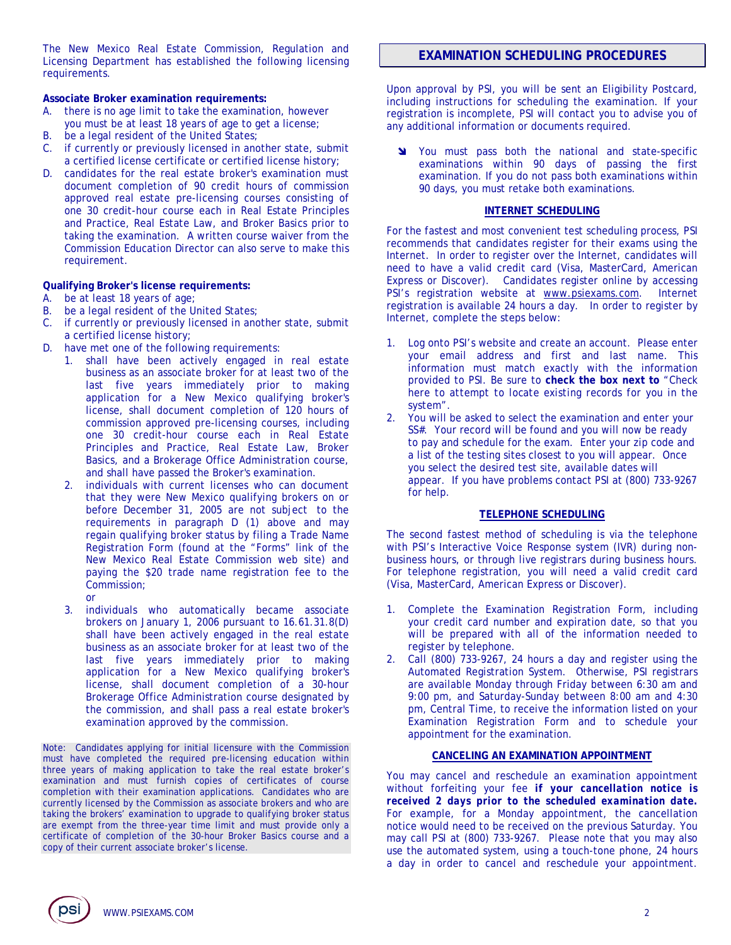The New Mexico Real Estate Commission, Regulation and Licensing Department has established the following licensing requirements.

#### **Associate Broker examination requirements:**

- A. there is no age limit to take the examination, however you must be at least 18 years of age to get a license;
- B. be a legal resident of the United States;
- C. if currently or previously licensed in another state, submit a certified license certificate or certified license history;
- D. candidates for the real estate broker's examination must document completion of 90 credit hours of commission approved real estate pre-licensing courses consisting of one 30 credit-hour course each in Real Estate Principles and Practice, Real Estate Law, and Broker Basics prior to taking the examination. A written course waiver from the Commission Education Director can also serve to make this requirement.

#### **Qualifying Broker's license requirements:**

- A. be at least 18 years of age;
- B. be a legal resident of the United States;
- C. if currently or previously licensed in another state, submit a certified license history;
- D. have met one of the following requirements:
	- 1. shall have been actively engaged in real estate business as an associate broker for at least two of the last five years immediately prior to making application for a New Mexico qualifying broker's license, shall document completion of 120 hours of commission approved pre-licensing courses, including one 30 credit-hour course each in Real Estate Principles and Practice, Real Estate Law, Broker Basics, and a Brokerage Office Administration course, and shall have passed the Broker's examination.
	- 2. individuals with current licenses who can document that they were New Mexico qualifying brokers on or before December 31, 2005 are not subject to the requirements in paragraph D (1) above and may regain qualifying broker status by filing a Trade Name Registration Form (found at the "Forms" link of the New Mexico Real Estate Commission web site) and paying the \$20 trade name registration fee to the Commission;
	- or 3. individuals who automatically became associate brokers on January 1, 2006 pursuant to 16.61.31.8(D) shall have been actively engaged in the real estate business as an associate broker for at least two of the last five years immediately prior to making application for a New Mexico qualifying broker's license, shall document completion of a 30-hour Brokerage Office Administration course designated by the commission, and shall pass a real estate broker's examination approved by the commission.

Note: Candidates applying for initial licensure with the Commission must have completed the required pre-licensing education within three years of making application to take the real estate broker's examination and must furnish copies of certificates of course completion with their examination applications. Candidates who are currently licensed by the Commission as associate brokers and who are taking the brokers' examination to upgrade to qualifying broker status are exempt from the three-year time limit and must provide only a certificate of completion of the 30-hour Broker Basics course and a copy of their current associate broker's license.

# **EXAMINATION SCHEDULING PROCEDURES**

Upon approval by PSI, you will be sent an Eligibility Postcard, including instructions for scheduling the examination. If your registration is incomplete, PSI will contact you to advise you of any additional information or documents required.

You must pass both the national and state-specific examinations within 90 days of passing the first examination. If you do not pass both examinations within 90 days, you must retake both examinations.

#### **INTERNET SCHEDULING**

For the fastest and most convenient test scheduling process, PSI recommends that candidates register for their exams using the Internet. In order to register over the Internet, candidates will need to have a valid credit card (Visa, MasterCard, American Express or Discover). Candidates register online by accessing PSI's registration website at www.psiexams.com. Internet registration is available 24 hours a day. In order to register by Internet, complete the steps below:

- 1. Log onto PSI's website and create an account. Please enter your email address and first and last name. This information must match exactly with the information provided to PSI. Be sure to **check the box next to** "*Check here to attempt to locate existing records for you in the system".*
- 2. You will be asked to select the examination and enter your SS#. Your record will be found and you will now be ready to pay and schedule for the exam. Enter your zip code and a list of the testing sites closest to you will appear. Once you select the desired test site, available dates will appear. If you have problems contact PSI at (800) 733-9267 for help.

#### **TELEPHONE SCHEDULING**

The second fastest method of scheduling is via the telephone with PSI's Interactive Voice Response system (IVR) during nonbusiness hours, or through live registrars during business hours. For telephone registration, you will need a valid credit card (Visa, MasterCard, American Express or Discover).

- 1. Complete the Examination Registration Form, including your credit card number and expiration date, so that you will be prepared with all of the information needed to register by telephone.
- 2. Call (800) 733-9267, 24 hours a day and register using the Automated Registration System. Otherwise, PSI registrars are available Monday through Friday between 6:30 am and 9:00 pm, and Saturday-Sunday between 8:00 am and 4:30 pm, Central Time, to receive the information listed on your Examination Registration Form and to schedule your appointment for the examination.

#### **CANCELING AN EXAMINATION APPOINTMENT**

You may cancel and reschedule an examination appointment without forfeiting your fee *if your cancellation notice is received 2 days prior to the scheduled examination date.* For example, for a Monday appointment, the cancellation notice would need to be received on the previous Saturday. You may call PSI at (800) 733-9267. Please note that you may also use the automated system, using a touch-tone phone, 24 hours a day in order to cancel and reschedule your appointment.

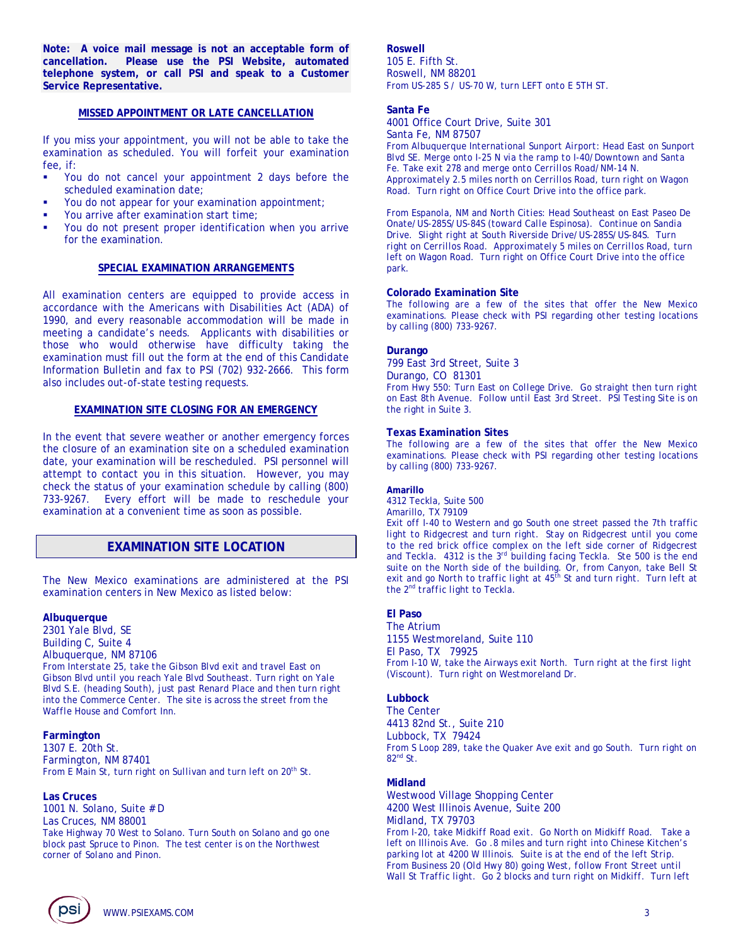**Note: A voice mail message is not an acceptable form of cancellation. Please use the PSI Website, automated telephone system, or call PSI and speak to a Customer Service Representative.** 

#### **MISSED APPOINTMENT OR LATE CANCELLATION**

If you miss your appointment, you will not be able to take the examination as scheduled. You will forfeit your examination fee, if:

- You do not cancel your appointment 2 days before the scheduled examination date;
- You do not appear for your examination appointment;
- You arrive after examination start time;
- You do not present proper identification when you arrive for the examination.

#### **SPECIAL EXAMINATION ARRANGEMENTS**

All examination centers are equipped to provide access in accordance with the Americans with Disabilities Act (ADA) of 1990, and every reasonable accommodation will be made in meeting a candidate's needs. Applicants with disabilities or those who would otherwise have difficulty taking the examination must fill out the form at the end of this Candidate Information Bulletin and fax to PSI (702) 932-2666. This form also includes out-of-state testing requests.

#### **EXAMINATION SITE CLOSING FOR AN EMERGENCY**

In the event that severe weather or another emergency forces the closure of an examination site on a scheduled examination date, your examination will be rescheduled. PSI personnel will attempt to contact you in this situation. However, you may check the status of your examination schedule by calling (800) 733-9267. Every effort will be made to reschedule your examination at a convenient time as soon as possible.

# **EXAMINATION SITE LOCATION**

The New Mexico examinations are administered at the PSI examination centers in New Mexico as listed below:

#### **Albuquerque**

2301 Yale Blvd, SE Building C, Suite 4 Albuquerque, NM 87106

*From Interstate 25, take the Gibson Blvd exit and travel East on Gibson Blvd until you reach Yale Blvd Southeast. Turn right on Yale Blvd S.E. (heading South), just past Renard Place and then turn right into the Commerce Center. The site is across the street from the Waffle House and Comfort Inn.* 

#### **Farmington**

1307 E. 20th St. Farmington, NM 87401 *From E Main St, turn right on Sullivan and turn left on 20th St.* 

#### **Las Cruces**

1001 N. Solano, Suite # D Las Cruces, NM 88001 *Take Highway 70 West to Solano. Turn South on Solano and go one block past Spruce to Pinon. The test center is on the Northwest corner of Solano and Pinon.* 

#### **Roswell**

105 E. Fifth St. Roswell, NM 88201 *From US-285 S / US-70 W, turn LEFT onto E 5TH ST.*

#### **Santa Fe**

4001 Office Court Drive, Suite 301 Santa Fe, NM 87507

*From Albuquerque International Sunport Airport: Head East on Sunport Blvd SE. Merge onto I-25 N via the ramp to I-40/Downtown and Santa Fe. Take exit 278 and merge onto Cerrillos Road/NM-14 N. Approximately 2.5 miles north on Cerrillos Road, turn right on Wagon Road. Turn right on Office Court Drive into the office park.* 

*From Espanola, NM and North Cities: Head Southeast on East Paseo De Onate/US-285S/US-84S (toward Calle Espinosa). Continue on Sandia Drive. Slight right at South Riverside Drive/US-285S/US-84S. Turn right on Cerrillos Road. Approximately 5 miles on Cerrillos Road, turn left on Wagon Road. Turn right on Office Court Drive into the office park.* 

#### **Colorado Examination Site**

*The following are a few of the sites that offer the New Mexico examinations. Please check with PSI regarding other testing locations by calling (800) 733-9267.* 

#### **Durango**

799 East 3rd Street, Suite 3 Durango, CO 81301 *From Hwy 550: Turn East on College Drive. Go straight then turn right on East 8th Avenue. Follow until East 3rd Street. PSI Testing Site is on the right in Suite 3.* 

#### **Texas Examination Sites**

*The following are a few of the sites that offer the New Mexico examinations. Please check with PSI regarding other testing locations by calling (800) 733-9267.* 

#### **Amarillo**

4312 Teckla, Suite 500 Amarillo, TX 79109

*Exit off I-40 to Western and go South one street passed the 7th traffic light to Ridgecrest and turn right. Stay on Ridgecrest until you come to the red brick office complex on the left side corner of Ridgecrest and Teckla. 4312 is the 3rd building facing Teckla. Ste 500 is the end suite on the North side of the building. Or, from Canyon, take Bell St exit and go North to traffic light at 45th St and turn right. Turn left at the 2nd traffic light to Teckla.* 

# **El Paso**

The Atrium 1155 Westmoreland, Suite 110 El Paso, TX 79925 *From I-10 W, take the Airways exit North. Turn right at the first light (Viscount). Turn right on Westmoreland Dr.* 

#### **Lubbock**

The Center 4413 82nd St., Suite 210 Lubbock, TX 79424 *From S Loop 289, take the Quaker Ave exit and go South. Turn right on 82nd St.* 

#### **Midland**

Westwood Village Shopping Center 4200 West Illinois Avenue, Suite 200 Midland, TX 79703 *From I-20, take Midkiff Road exit. Go North on Midkiff Road. Take a left on Illinois Ave. Go .8 miles and turn right into Chinese Kitchen's parking lot at 4200 W Illinois. Suite is at the end of the left Strip. From Business 20 (Old Hwy 80) going West, follow Front Street until Wall St Traffic light. Go 2 blocks and turn right on Midkiff. Turn left* 

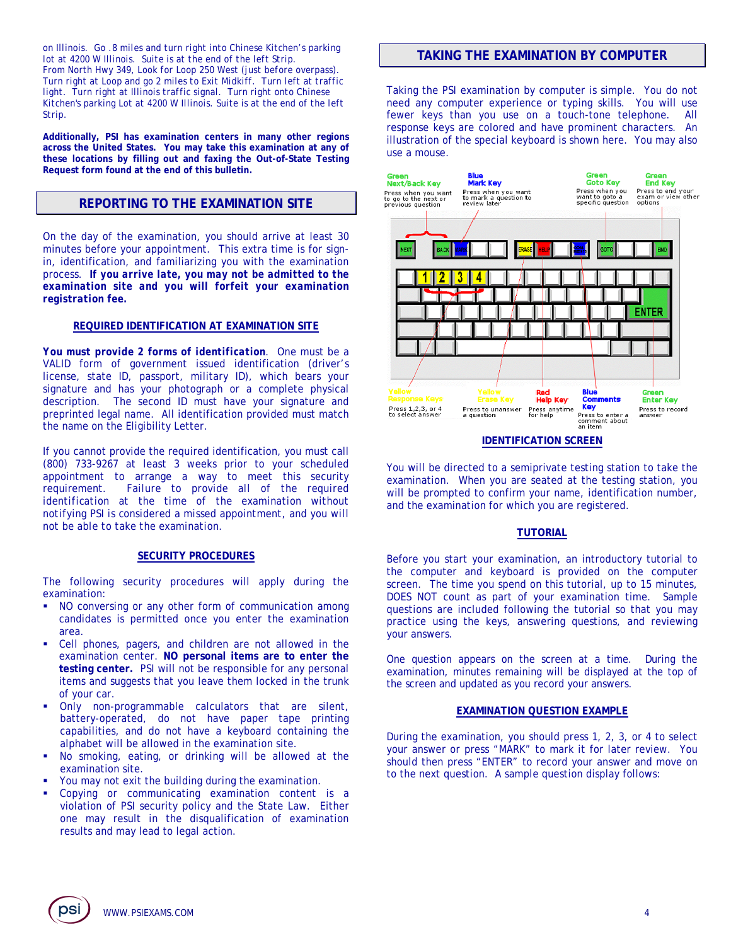*on Illinois. Go .8 miles and turn right into Chinese Kitchen's parking lot at 4200 W Illinois. Suite is at the end of the left Strip. From North Hwy 349, Look for Loop 250 West (just before overpass). Turn right at Loop and go 2 miles to Exit Midkiff. Turn left at traffic light. Turn right at Illinois traffic signal. Turn right onto Chinese Kitchen's parking Lot at 4200 W Illinois. Suite is at the end of the left Strip.* 

**Additionally, PSI has examination centers in many other regions across the United States. You may take this examination at any of these locations by filling out and faxing the Out-of-State Testing Request form found at the end of this bulletin.** 

# **REPORTING TO THE EXAMINATION SITE**

On the day of the examination, you should arrive at least 30 minutes before your appointment. This extra time is for signin, identification, and familiarizing you with the examination process. *If you arrive late, you may not be admitted to the examination site and you will forfeit your examination registration fee.*

#### **REQUIRED IDENTIFICATION AT EXAMINATION SITE**

*You must provide 2 forms of identification.* One must be a VALID form of government issued identification (driver's license, state ID, passport, military ID), which bears your signature and has your photograph or a complete physical description. The second ID must have your signature and preprinted legal name. All identification provided must match the name on the Eligibility Letter.

If you cannot provide the required identification, you must call (800) 733-9267 at least 3 weeks prior to your scheduled appointment to arrange a way to meet this security requirement. *Failure to provide all of the required identification at the time of the examination without notifying PSI is considered a missed appointment, and you will not be able to take the examination.* 

#### **SECURITY PROCEDURES**

The following security procedures will apply during the examination:

- NO conversing or any other form of communication among candidates is permitted once you enter the examination area.
- Cell phones, pagers, and children are not allowed in the examination center. **NO personal items are to enter the testing center.** PSI will not be responsible for any personal items and suggests that you leave them locked in the trunk of your car.
- Only non-programmable calculators that are silent, battery-operated, do not have paper tape printing capabilities, and do not have a keyboard containing the alphabet will be allowed in the examination site.
- No smoking, eating, or drinking will be allowed at the examination site.
- You may not exit the building during the examination.
- Copying or communicating examination content is a violation of PSI security policy and the State Law. Either one may result in the disqualification of examination results and may lead to legal action.

# **TAKING THE EXAMINATION BY COMPUTER**

Taking the PSI examination by computer is simple. You do not need any computer experience or typing skills. You will use fewer keys than you use on a touch-tone telephone. All response keys are colored and have prominent characters. An illustration of the special keyboard is shown here. You may also use a mouse.



You will be directed to a semiprivate testing station to take the examination. When you are seated at the testing station, you will be prompted to confirm your name, identification number, and the examination for which you are registered.

#### **TUTORIAL**

Before you start your examination, an introductory tutorial to the computer and keyboard is provided on the computer screen. The time you spend on this tutorial, up to 15 minutes, DOES NOT count as part of your examination time. Sample questions are included following the tutorial so that you may practice using the keys, answering questions, and reviewing your answers.

One question appears on the screen at a time. During the examination, minutes remaining will be displayed at the top of the screen and updated as you record your answers.

#### **EXAMINATION QUESTION EXAMPLE**

During the examination, you should press 1, 2, 3, or 4 to select your answer or press "MARK" to mark it for later review. You should then press "ENTER" to record your answer and move on to the next question. A sample question display follows:

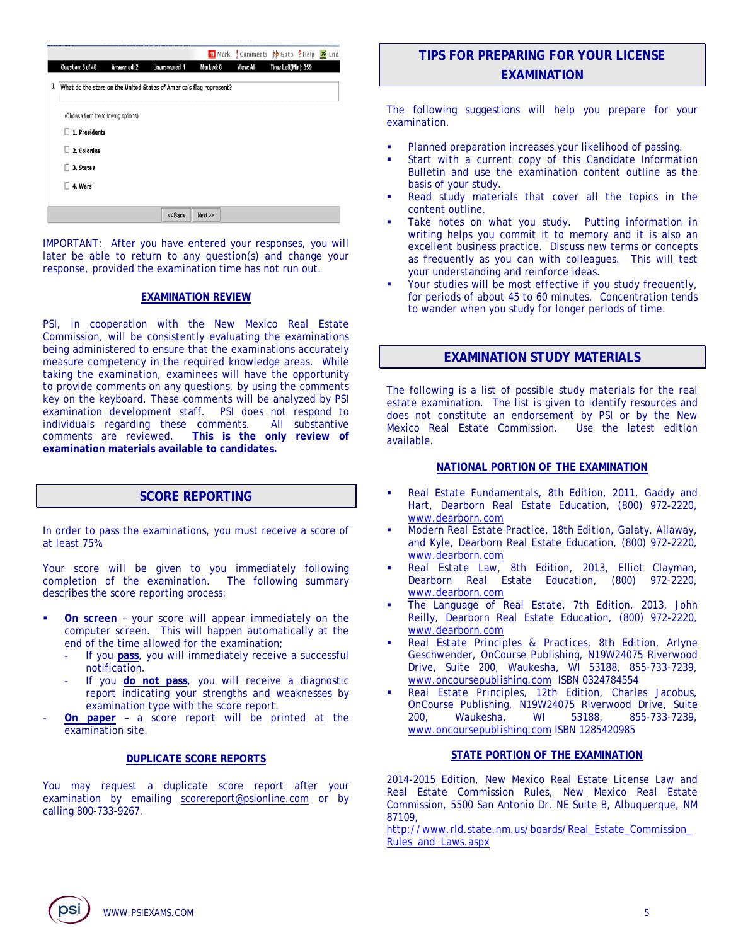|    |                                     |             |                                                                     |           | m Mark Comments be Goto ? Help X End |                     |  |
|----|-------------------------------------|-------------|---------------------------------------------------------------------|-----------|--------------------------------------|---------------------|--|
|    | Question: 3 of 40                   | Answered: 2 | Unanswered: 1                                                       | Marked: O | View: All                            | Time Left(Min): 359 |  |
| 3, |                                     |             | What do the stars on the United States of America's flag represent? |           |                                      |                     |  |
|    | (Choose from the following options) |             |                                                                     |           |                                      |                     |  |
|    | 1. Presidents<br>п                  |             |                                                                     |           |                                      |                     |  |
|    | п<br>2. Colonies                    |             |                                                                     |           |                                      |                     |  |
|    | 3. States<br>п                      |             |                                                                     |           |                                      |                     |  |
|    | 4. Wars<br>П                        |             |                                                                     |           |                                      |                     |  |
|    |                                     |             |                                                                     |           |                                      |                     |  |
|    |                                     |             | << Back                                                             | Next      |                                      |                     |  |

IMPORTANT: After you have entered your responses, you will later be able to return to any question(s) and change your response, provided the examination time has not run out.

#### **EXAMINATION REVIEW**

PSI, in cooperation with the New Mexico Real Estate Commission, will be consistently evaluating the examinations being administered to ensure that the examinations accurately measure competency in the required knowledge areas. While taking the examination, examinees will have the opportunity to provide comments on any questions, by using the comments key on the keyboard. These comments will be analyzed by PSI examination development staff. PSI does not respond to individuals regarding these comments. All substantive comments are reviewed. This is the only review of This is the only review of **examination materials available to candidates.**

# **SCORE REPORTING**

In order to pass the examinations, you must receive a score of at least 75%.

Your score will be given to you immediately following completion of the examination. The following summary describes the score reporting process:

- **On screen** your score will appear immediately on the computer screen. This will happen automatically at the end of the time allowed for the examination;
	- If you pass, you will immediately receive a successful notification.
	- If you **do not pass**, you will receive a diagnostic report indicating your strengths and weaknesses by examination type with the score report.
- **On paper** a score report will be printed at the examination site.

# **DUPLICATE SCORE REPORTS**

You may request a duplicate score report after your examination by emailing scorereport@psionline.com or by calling 800-733-9267.

# **TIPS FOR PREPARING FOR YOUR LICENSE EXAMINATION**

The following suggestions will help you prepare for your examination.

- Planned preparation increases your likelihood of passing.
- Start with a current copy of this Candidate Information Bulletin and use the examination content outline as the basis of your study.
- Read study materials that cover all the topics in the content outline.
- Take notes on what you study. Putting information in writing helps you commit it to memory and it is also an excellent business practice. Discuss new terms or concepts as frequently as you can with colleagues. This will test your understanding and reinforce ideas.
- Your studies will be most effective if you study frequently, for periods of about 45 to 60 minutes. Concentration tends to wander when you study for longer periods of time.

# **EXAMINATION STUDY MATERIALS**

The following is a list of possible study materials for the real estate examination. The list is given to identify resources and does not constitute an endorsement by PSI or by the New Mexico Real Estate Commission. Use the latest edition available.

# **NATIONAL PORTION OF THE EXAMINATION**

- *Real Estate Fundamentals*, 8th Edition, 2011, Gaddy and Hart, Dearborn Real Estate Education, (800) 972-2220, www.dearborn.com
- *Modern Real Estate Practice*, 18th Edition, Galaty, Allaway, and Kyle, Dearborn Real Estate Education, (800) 972-2220, www.dearborn.com
- *Real Estate Law,* 8th Edition, 2013, Elliot Clayman, Dearborn Real Estate Education, (800) 972-2220, www.dearborn.com
- *The Language of Real Estate*, 7th Edition, 2013, John Reilly, Dearborn Real Estate Education, (800) 972-2220, www.dearborn.com
- *Real Estate Principles & Practices*, 8th Edition, Arlyne Geschwender, OnCourse Publishing, N19W24075 Riverwood Drive, Suite 200, Waukesha, WI 53188, 855-733-7239, www.oncoursepublishing.com ISBN 0324784554
- *Real Estate Principles*, 12th Edition, Charles Jacobus, OnCourse Publishing, N19W24075 Riverwood Drive, Suite 200, Waukesha, WI 53188, 855-733-7239, www.oncoursepublishing.com ISBN 1285420985

### **STATE PORTION OF THE EXAMINATION**

2014-2015 Edition, New Mexico Real Estate License Law and Real Estate Commission Rules, New Mexico Real Estate Commission, 5500 San Antonio Dr. NE Suite B, Albuquerque, NM 87109,

http://www.rld.state.nm.us/boards/Real\_Estate\_Commission Rules\_and\_Laws.aspx

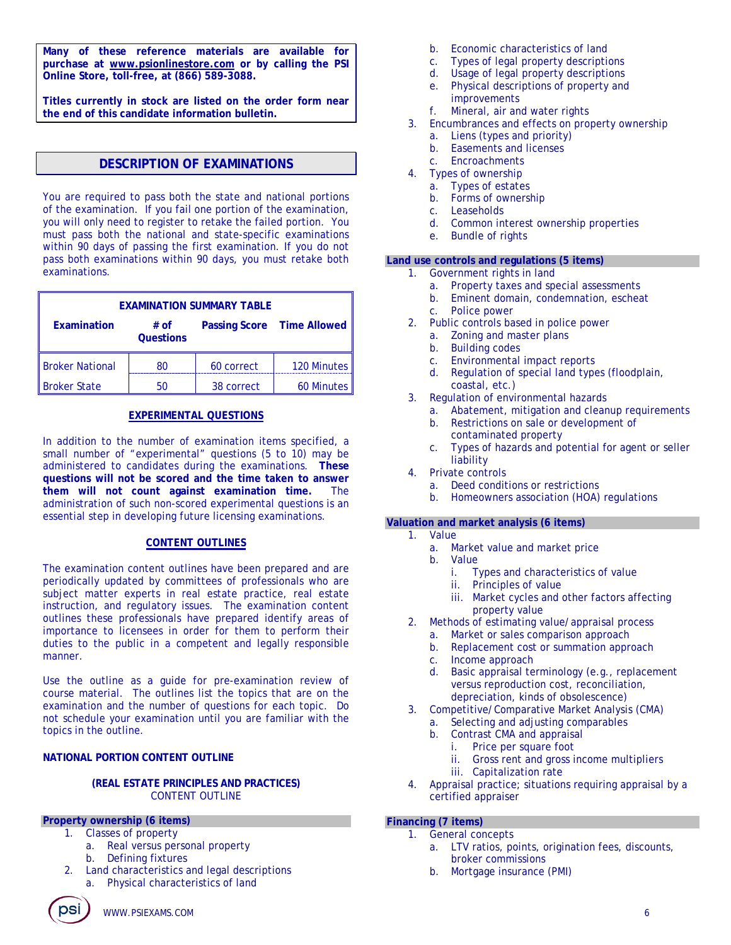**Many of these reference materials are available for purchase at www.psionlinestore.com or by calling the PSI Online Store, toll-free, at (866) 589-3088.** 

**Titles currently in stock are listed on the order form near the end of this candidate information bulletin.** 

# **DESCRIPTION OF EXAMINATIONS**

You are required to pass both the state and national portions of the examination. If you fail one portion of the examination, you will only need to register to retake the failed portion. You must pass both the national and state-specific examinations within 90 days of passing the first examination. If you do not pass both examinations within 90 days, you must retake both examinations.

| <b>EXAMINATION SUMMARY TABLE</b>                                      |    |            |             |  |  |  |
|-----------------------------------------------------------------------|----|------------|-------------|--|--|--|
| Examination<br>Passing Score Time Allowed<br># of<br><b>Questions</b> |    |            |             |  |  |  |
| <b>Broker National</b>                                                | 80 | 60 correct | 120 Minutes |  |  |  |
| <b>Broker State</b>                                                   |    | 38 correct | 60 Minutes  |  |  |  |

#### **EXPERIMENTAL QUESTIONS**

In addition to the number of examination items specified, a small number of "experimental" questions (5 to 10) may be administered to candidates during the examinations. **These questions will not be scored and the time taken to answer them will not count against examination time.** The administration of such non-scored experimental questions is an essential step in developing future licensing examinations.

### **CONTENT OUTLINES**

The examination content outlines have been prepared and are periodically updated by committees of professionals who are subject matter experts in real estate practice, real estate instruction, and regulatory issues. The examination content outlines these professionals have prepared identify areas of importance to licensees in order for them to perform their duties to the public in a competent and legally responsible manner.

Use the outline as a guide for pre-examination review of course material. The outlines list the topics that are on the examination and the number of questions for each topic. Do not schedule your examination until you are familiar with the topics in the outline.

# **NATIONAL PORTION CONTENT OUTLINE**

#### **(REAL ESTATE PRINCIPLES AND PRACTICES)** CONTENT OUTLINE

#### **Property ownership (6 items)**

- 1. Classes of property
	- a. Real versus personal property
	- b. Defining fixtures
- 2. Land characteristics and legal descriptions a. Physical characteristics of land
- b. Economic characteristics of land
- c. Types of legal property descriptions
- d. Usage of legal property descriptions
- e. Physical descriptions of property and improvements
- f. Mineral, air and water rights
- 3. Encumbrances and effects on property ownership
	- a. Liens (types and priority)
	- b. Easements and licenses
	- c. Encroachments
- 4. Types of ownership
	- a. Types of estates
		- b. Forms of ownership
		- c. Leaseholds
		- d. Common interest ownership properties
		- e. Bundle of rights

#### **Land use controls and regulations (5 items)**

- 1. Government rights in land
	- a. Property taxes and special assessments
	- b. Eminent domain, condemnation, escheat
	- c. Police power
- 2. Public controls based in police power
	- a. Zoning and master plans
	- b. Building codes
	- c. Environmental impact reports
	- d. Regulation of special land types (floodplain, coastal, etc.)
- 3. Regulation of environmental hazards
	- a. Abatement, mitigation and cleanup requirements
	- b. Restrictions on sale or development of contaminated property
	- c. Types of hazards and potential for agent or seller liability
- 4. Private controls
	- a. Deed conditions or restrictions
	- b. Homeowners association (HOA) regulations

# **Valuation and market analysis (6 items)**

- 1. Value
	- a. Market value and market price
	- b. Value
		- i. Types and characteristics of value
		- ii. Principles of value
		- iii. Market cycles and other factors affecting property value
- 2. Methods of estimating value/appraisal process
	- a. Market or sales comparison approach
	- b. Replacement cost or summation approach
	- c. Income approach
	- d. Basic appraisal terminology (e.g., replacement versus reproduction cost, reconciliation, depreciation, kinds of obsolescence)
- 3. Competitive/Comparative Market Analysis (CMA)
	- a. Selecting and adjusting comparables
	- b. Contrast CMA and appraisal
		- i. Price per square foot
		- ii. Gross rent and gross income multipliers
		- iii. Capitalization rate
- 4. Appraisal practice; situations requiring appraisal by a certified appraiser

### **Financing (7 items)**

- 1. General concepts
	- a. LTV ratios, points, origination fees, discounts, broker commissions
	- b. Mortgage insurance (PMI)

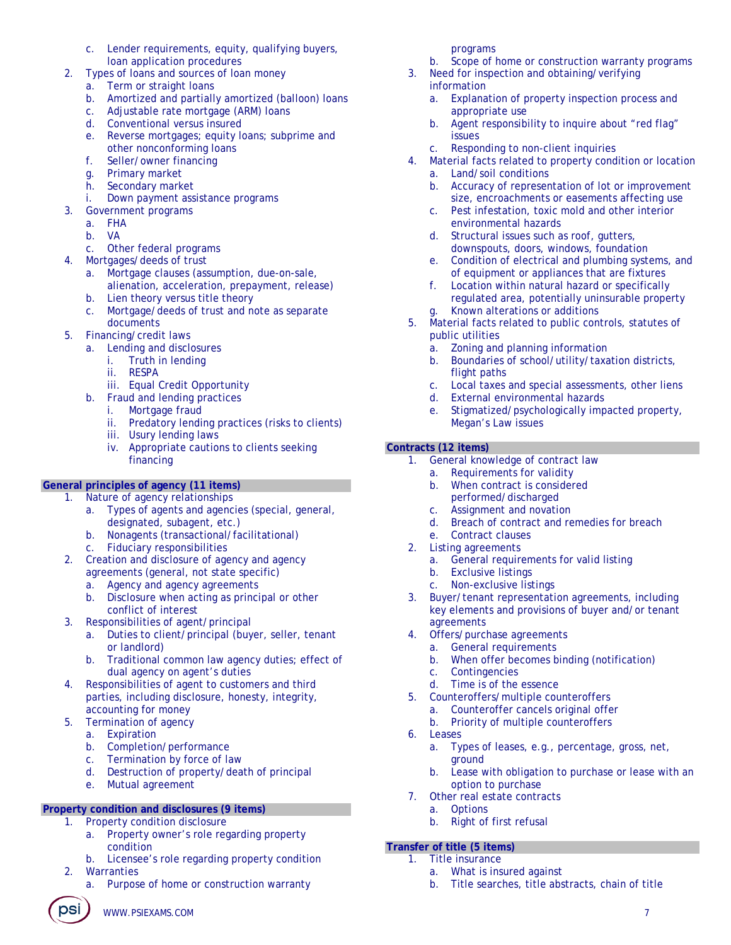- c. Lender requirements, equity, qualifying buyers, loan application procedures
- 2. Types of loans and sources of loan money
	- a. Term or straight loans
	- b. Amortized and partially amortized (balloon) loans
	- c. Adjustable rate mortgage (ARM) loans
	- d. Conventional versus insured
	- e. Reverse mortgages; equity loans; subprime and other nonconforming loans
	- f. Seller/owner financing
	- g. Primary market
	- h. Secondary market
	- i. Down payment assistance programs
	- Government programs
		- a. FHA
		- b. VA
		- c. Other federal programs
- 4. Mortgages/deeds of trust
	- a. Mortgage clauses (assumption, due-on-sale, alienation, acceleration, prepayment, release)
	- b. Lien theory versus title theory
	- c. Mortgage/deeds of trust and note as separate documents
- 5. Financing/credit laws
	- a. Lending and disclosures
		- i. Truth in lending
		- ii. RESPA
		- iii. Equal Credit Opportunity
	- b. Fraud and lending practices
		- i. Mortgage fraud
		- ii. Predatory lending practices (risks to clients)
		- iii. Usury lending laws
		- iv. Appropriate cautions to clients seeking financing

# **General principles of agency (11 items)**

- 1. Nature of agency relationships
	- a. Types of agents and agencies (special, general, designated, subagent, etc.)
	- b. Nonagents (transactional/facilitational)
	- c. Fiduciary responsibilities
- 2. Creation and disclosure of agency and agency agreements (general, not state specific)
	- a. Agency and agency agreements
	- b. Disclosure when acting as principal or other conflict of interest
- 3. Responsibilities of agent/principal
	- a. Duties to client/principal (buyer, seller, tenant or landlord)
	- b. Traditional common law agency duties; effect of dual agency on agent's duties
- 4. Responsibilities of agent to customers and third parties, including disclosure, honesty, integrity, accounting for money
- 5. Termination of agency
	- a. Expiration
	- b. Completion/performance
	- c. Termination by force of law
	- d. Destruction of property/death of principal
	- e. Mutual agreement

# **Property condition and disclosures (9 items)**

- 1. Property condition disclosure
	- a. Property owner's role regarding property condition
	- b. Licensee's role regarding property condition
- 2. Warranties
	- a. Purpose of home or construction warranty

programs

- b. Scope of home or construction warranty programs
- 3. Need for inspection and obtaining/verifying information
	- a. Explanation of property inspection process and appropriate use
	- b. Agent responsibility to inquire about "red flag" issues
	- c. Responding to non-client inquiries
- 4. Material facts related to property condition or location a. Land/soil conditions
	- b. Accuracy of representation of lot or improvement size, encroachments or easements affecting use
	- c. Pest infestation, toxic mold and other interior environmental hazards
	- d. Structural issues such as roof, gutters, downspouts, doors, windows, foundation
	- e. Condition of electrical and plumbing systems, and of equipment or appliances that are fixtures
	- f. Location within natural hazard or specifically regulated area, potentially uninsurable property
- g. Known alterations or additions 5. Material facts related to public controls, statutes of public utilities
	- a. Zoning and planning information
	- b. Boundaries of school/utility/taxation districts, flight paths
	- c. Local taxes and special assessments, other liens
	- d. External environmental hazards
	- e. Stigmatized/psychologically impacted property, Megan's Law issues

# **Contracts (12 items)**

- 1. General knowledge of contract law
	- a. Requirements for validity
	- b. When contract is considered performed/discharged
	-
	- c. Assignment and novation<br>d. Breach of contract and re Breach of contract and remedies for breach
	- e. Contract clauses
- 2. Listing agreements
	- a. General requirements for valid listing
	- b. Exclusive listings
	- c. Non-exclusive listings
- 3. Buyer/tenant representation agreements, including key elements and provisions of buyer and/or tenant agreements
- 4. Offers/purchase agreements
	- a. General requirements
	- b. When offer becomes binding (notification)
	- c. Contingencies
	- d. Time is of the essence
- 5. Counteroffers/multiple counteroffers
	- a. Counteroffer cancels original offer
	- b. Priority of multiple counteroffers
- 6. Leases
	- a. Types of leases, e.g., percentage, gross, net, ground

b. Title searches, title abstracts, chain of title

- b. Lease with obligation to purchase or lease with an option to purchase
- 7. Other real estate contracts
	- a. Options
	- b. Right of first refusal

# **Transfer of title (5 items)**

1. Title insurance

**DSI** ) www.psiexams.com 7

a. What is insured against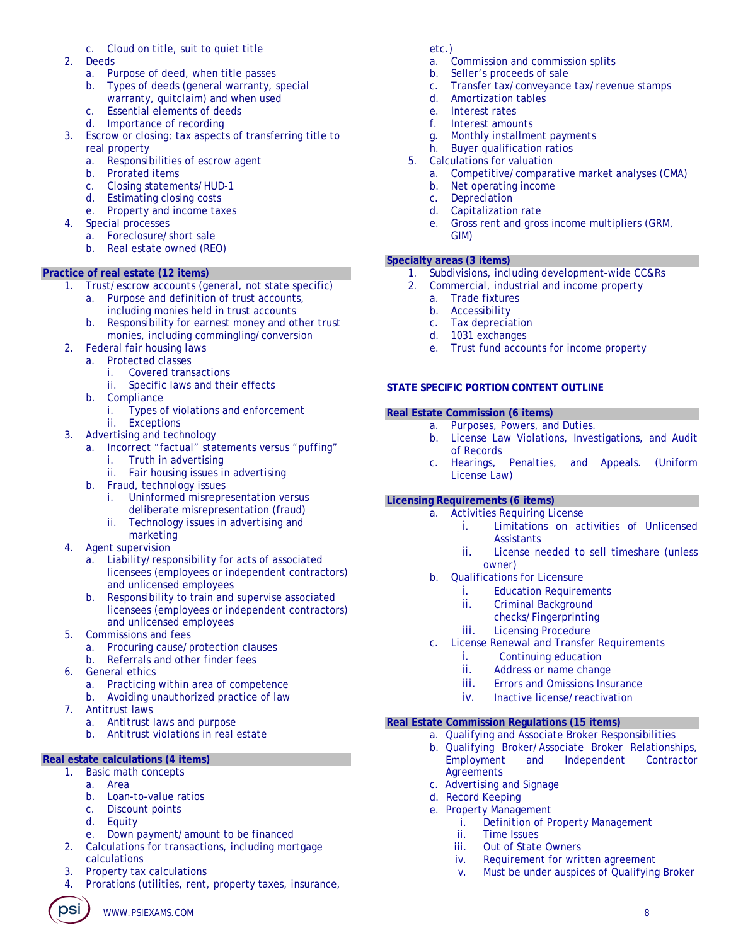# c. Cloud on title, suit to quiet title

- 2. Deeds
	- a. Purpose of deed, when title passes
	- b. Types of deeds (general warranty, special
	- warranty, quitclaim) and when used c. Essential elements of deeds
	- d. Importance of recording
- 3. Escrow or closing; tax aspects of transferring title to real property
	- a. Responsibilities of escrow agent
	- b. Prorated items
	- c. Closing statements/HUD-1
	- d. Estimating closing costs
	- e. Property and income taxes
- Special processes
	- a. Foreclosure/short sale
	- b. Real estate owned (REO)

# **Practice of real estate (12 items)**

- 1. Trust/escrow accounts (general, not state specific)
	- a. Purpose and definition of trust accounts, including monies held in trust accounts
	- b. Responsibility for earnest money and other trust monies, including commingling/conversion
- 2. Federal fair housing laws
	- a. Protected classes
		- i. Covered transactions
		- ii. Specific laws and their effects
	- b. Compliance
		- i. Types of violations and enforcement
		- ii. Exceptions
- 3. Advertising and technology
	- a. Incorrect "factual" statements versus "puffing"
		- i. Truth in advertising
		- ii. Fair housing issues in advertising
	- b. Fraud, technology issues
		- i. Uninformed misrepresentation versus deliberate misrepresentation (fraud)
		- ii. Technology issues in advertising and marketing
- 4. Agent supervision
	- a. Liability/responsibility for acts of associated licensees (employees or independent contractors) and unlicensed employees
	- b. Responsibility to train and supervise associated licensees (employees or independent contractors) and unlicensed employees
- 5. Commissions and fees
	- a. Procuring cause/protection clauses
	- b. Referrals and other finder fees
- 6. General ethics
	- a. Practicing within area of competence
	- b. Avoiding unauthorized practice of law
- 7. Antitrust laws
	- a. Antitrust laws and purpose
	- b. Antitrust violations in real estate

# **Real estate calculations (4 items)**

- 1. Basic math concepts
	- a. Area
	- b. Loan-to-value ratios
	- c. Discount points
	- d. Equity
	- e. Down payment/amount to be financed
- 2. Calculations for transactions, including mortgage calculations
- 3. Property tax calculations
- 4. Prorations (utilities, rent, property taxes, insurance,

**PSI** WWW.PSIEXAMS.COM 8

# etc.)

- a. Commission and commission splits
- b. Seller's proceeds of sale
- c. Transfer tax/conveyance tax/revenue stamps
- d. Amortization tables
- e. Interest rates
- f. Interest amounts
- g. Monthly installment payments
- h. Buyer qualification ratios
- 5. Calculations for valuation
	- a. Competitive/comparative market analyses (CMA)
	- b. Net operating income
	- c. Depreciation
	- d. Capitalization rate
	- e. Gross rent and gross income multipliers (GRM, GIM)

# **Specialty areas (3 items)**

- 1. Subdivisions, including development-wide CC&Rs
- 2. Commercial, industrial and income property
	- a. Trade fixtures
	- b. Accessibility
	- c. Tax depreciation
	- d. 1031 exchanges
	- e. Trust fund accounts for income property

# **STATE SPECIFIC PORTION CONTENT OUTLINE**

# **Real Estate Commission (6 items)**

- a. Purposes, Powers, and Duties.
	- b. License Law Violations, Investigations, and Audit of Records
	- c. Hearings, Penalties, and Appeals. (Uniform License Law)

# **Licensing Requirements (6 items)**

- a. Activities Requiring License
	- i. Limitations on activities of Unlicensed **Assistants**
	- ii. License needed to sell timeshare (unless owner)
- b. Qualifications for Licensure
	- i. Education Requirements
	- ii. Criminal Background
		- checks/Fingerprinting
	- iii. Licensing Procedure
- c. License Renewal and Transfer Requirements
	- i. Continuing education
	- ii. Address or name change
	- iii. Errors and Omissions Insurance
	- iv. Inactive license/reactivation

# **Real Estate Commission Regulations (15 items)**

c. Advertising and Signage d. Record Keeping e. Property Management

> ii. Time Issues iii. Out of State Owners

a. Qualifying and Associate Broker Responsibilities

i. Definition of Property Management

iv. Requirement for written agreement

v. Must be under auspices of Qualifying Broker

b. Qualifying Broker/Associate Broker Relationships, Employment and Independent Contractor **Agreements**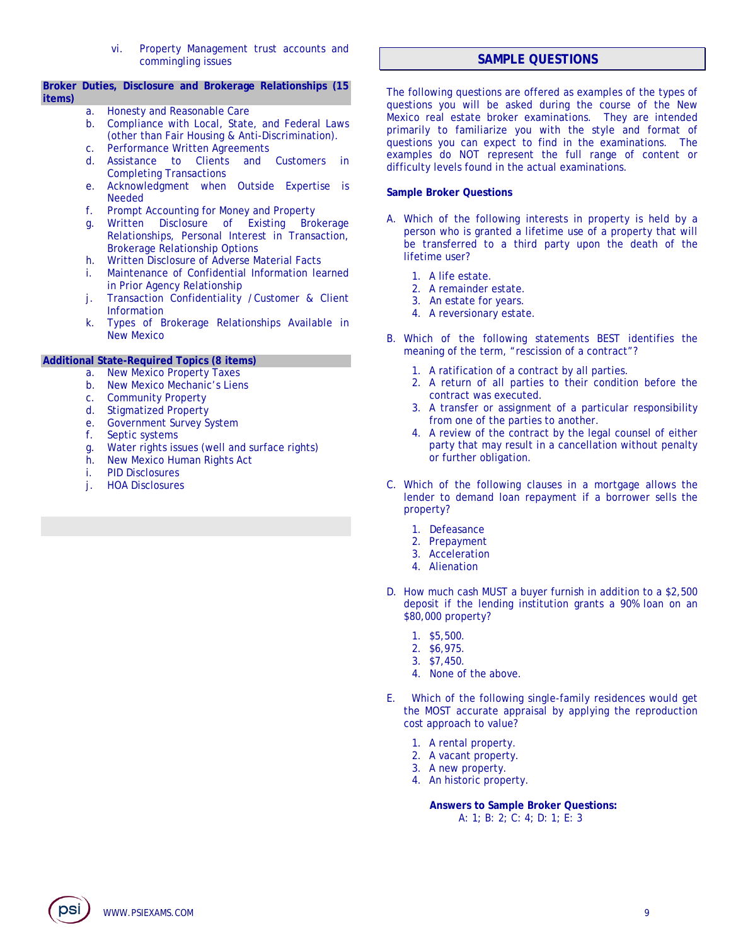vi. Property Management trust accounts and commingling issues

#### **Broker Duties, Disclosure and Brokerage Relationships (15 items)**

- a. Honesty and Reasonable Care
- b. Compliance with Local, State, and Federal Laws (other than Fair Housing & Anti-Discrimination).
- c. Performance Written Agreements
- d. Assistance to Clients and Customers in Completing Transactions
- e. Acknowledgment when Outside Expertise is Needed
- f. Prompt Accounting for Money and Property
- g. Written Disclosure of Existing Brokerage Relationships, Personal Interest in Transaction, Brokerage Relationship Options
- h. Written Disclosure of Adverse Material Facts
- i. Maintenance of Confidential Information learned in Prior Agency Relationship
- j. Transaction Confidentiality /Customer & Client Information
- k. Types of Brokerage Relationships Available in New Mexico

# **Additional State-Required Topics (8 items)**

- a. New Mexico Property Taxes
- b. New Mexico Mechanic's Liens
- c. Community Property
- d. Stigmatized Property
- e. Government Survey System
- f. Septic systems
- g. Water rights issues (well and surface rights)
- h. New Mexico Human Rights Act
- i. PID Disclosures
- j. HOA Disclosures

# **SAMPLE QUESTIONS**

The following questions are offered as examples of the types of questions you will be asked during the course of the New Mexico real estate broker examinations. They are intended primarily to familiarize you with the style and format of questions you can expect to find in the examinations. The examples do NOT represent the full range of content or difficulty levels found in the actual examinations.

#### **Sample Broker Questions**

- A. Which of the following interests in property is held by a person who is granted a lifetime use of a property that will be transferred to a third party upon the death of the lifetime user?
	- 1. A life estate.
	- 2. A remainder estate.
	- 3. An estate for years.
	- 4. A reversionary estate.
- B. Which of the following statements BEST identifies the meaning of the term, "rescission of a contract"?
	- 1. A ratification of a contract by all parties.
	- 2. A return of all parties to their condition before the contract was executed.
	- 3. A transfer or assignment of a particular responsibility from one of the parties to another.
	- 4. A review of the contract by the legal counsel of either party that may result in a cancellation without penalty or further obligation.
- C. Which of the following clauses in a mortgage allows the lender to demand loan repayment if a borrower sells the property?
	- 1. Defeasance
	- 2. Prepayment
	- 3. Acceleration
	- 4. Alienation
- D. How much cash MUST a buyer furnish in addition to a \$2,500 deposit if the lending institution grants a 90% loan on an \$80,000 property?
	- 1. \$5,500.
	- 2. \$6,975.
	- 3. \$7,450.
	- 4. None of the above.
- E. Which of the following single-family residences would get the MOST accurate appraisal by applying the reproduction cost approach to value?
	- 1. A rental property.
	- 2. A vacant property.
	- 3. A new property.
	- 4. An historic property.

**Answers to Sample Broker Questions:**  A: 1; B: 2; C: 4; D: 1; E: 3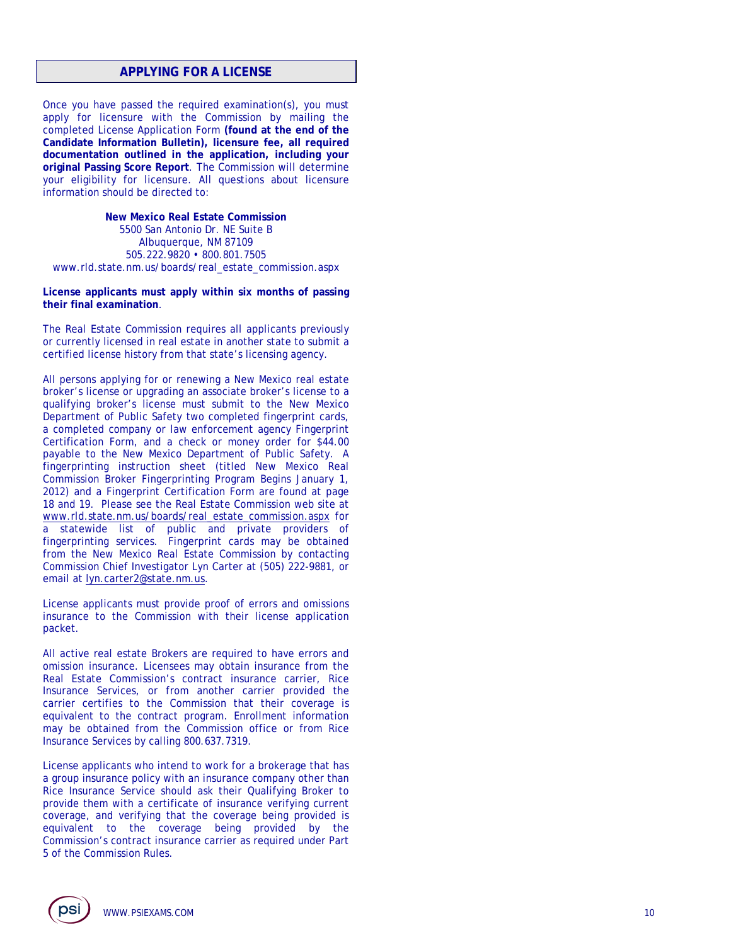# **APPLYING FOR A LICENSE**

Once you have passed the required examination(s), you must apply for licensure with the Commission by mailing the completed License Application Form **(found at the end of the Candidate Information Bulletin), licensure fee, all required documentation outlined in the application, including your original Passing Score Report**. The Commission will determine your eligibility for licensure. All questions about licensure information should be directed to:

**New Mexico Real Estate Commission**  5500 San Antonio Dr. NE Suite B Albuquerque, NM 87109 505.222.9820 • 800.801.7505 www.rld.state.nm.us/boards/real\_estate\_commission.aspx

**License applicants must apply within six months of passing their final examination**.

The Real Estate Commission requires all applicants previously or currently licensed in real estate in another state to submit a certified license history from that state's licensing agency.

All persons applying for or renewing a New Mexico real estate broker's license or upgrading an associate broker's license to a qualifying broker's license must submit to the New Mexico Department of Public Safety two completed fingerprint cards, a completed company or law enforcement agency Fingerprint Certification Form, and a check or money order for \$44.00 payable to the New Mexico Department of Public Safety. A fingerprinting instruction sheet (titled New Mexico Real Commission Broker Fingerprinting Program Begins January 1, 2012) and a Fingerprint Certification Form are found at page 18 and 19. Please see the Real Estate Commission web site at www.rld.state.nm.us/boards/real\_estate\_commission.aspx for a statewide list of public and private providers of fingerprinting services. Fingerprint cards may be obtained from the New Mexico Real Estate Commission by contacting Commission Chief Investigator Lyn Carter at (505) 222-9881, or email at lyn.carter2@state.nm.us.

License applicants must provide proof of errors and omissions insurance to the Commission with their license application packet.

All active real estate Brokers are required to have errors and omission insurance. Licensees may obtain insurance from the Real Estate Commission's contract insurance carrier, Rice Insurance Services, or from another carrier provided the carrier certifies to the Commission that their coverage is equivalent to the contract program. Enrollment information may be obtained from the Commission office or from Rice Insurance Services by calling 800.637.7319.

License applicants who intend to work for a brokerage that has a group insurance policy with an insurance company other than Rice Insurance Service should ask their Qualifying Broker to provide them with a certificate of insurance verifying current coverage, and verifying that the coverage being provided is equivalent to the coverage being provided by the Commission's contract insurance carrier as required under Part 5 of the Commission Rules.

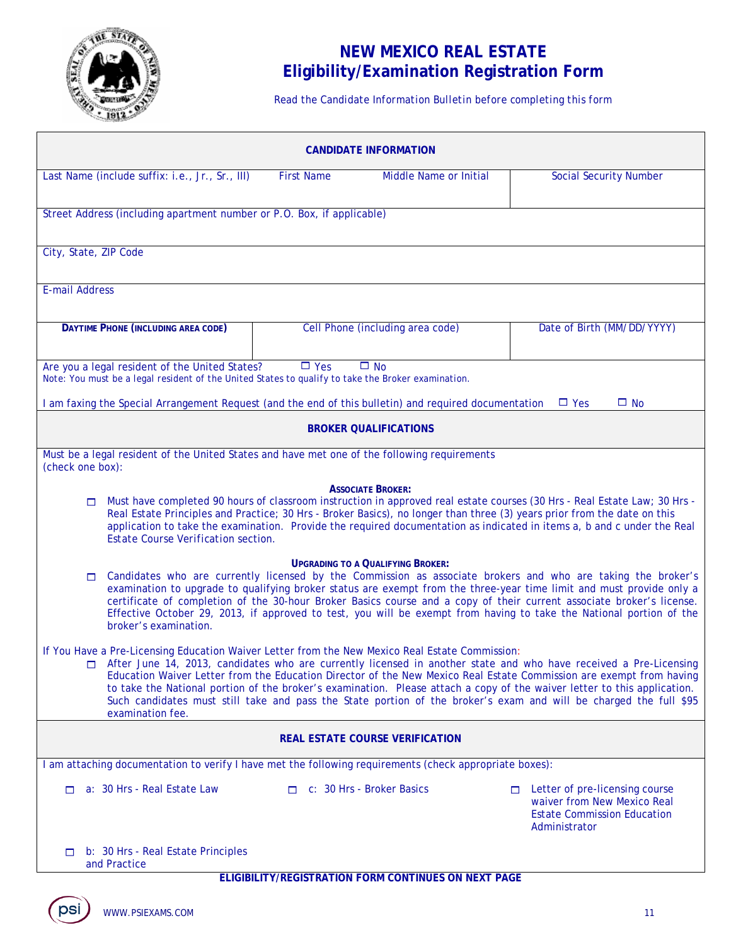

# **NEW MEXICO REAL ESTATE Eligibility/Examination Registration Form**

*Read the Candidate Information Bulletin before completing this form* 

| <b>CANDIDATE INFORMATION</b>                                                                                                                                                                                                                                                                                                                                                                                                                                                                                                                                                                                       |                                  |                                                      |                                                                                                                            |  |  |
|--------------------------------------------------------------------------------------------------------------------------------------------------------------------------------------------------------------------------------------------------------------------------------------------------------------------------------------------------------------------------------------------------------------------------------------------------------------------------------------------------------------------------------------------------------------------------------------------------------------------|----------------------------------|------------------------------------------------------|----------------------------------------------------------------------------------------------------------------------------|--|--|
| Last Name (include suffix: i.e., Jr., Sr., III)                                                                                                                                                                                                                                                                                                                                                                                                                                                                                                                                                                    | <b>First Name</b>                | Middle Name or Initial                               | <b>Social Security Number</b>                                                                                              |  |  |
| Street Address (including apartment number or P.O. Box, if applicable)                                                                                                                                                                                                                                                                                                                                                                                                                                                                                                                                             |                                  |                                                      |                                                                                                                            |  |  |
| City, State, ZIP Code                                                                                                                                                                                                                                                                                                                                                                                                                                                                                                                                                                                              |                                  |                                                      |                                                                                                                            |  |  |
| <b>E-mail Address</b>                                                                                                                                                                                                                                                                                                                                                                                                                                                                                                                                                                                              |                                  |                                                      |                                                                                                                            |  |  |
| DAYTIME PHONE (INCLUDING AREA CODE)                                                                                                                                                                                                                                                                                                                                                                                                                                                                                                                                                                                |                                  | Cell Phone (including area code)                     | Date of Birth (MM/DD/YYYY)                                                                                                 |  |  |
| Are you a legal resident of the United States?<br>Note: You must be a legal resident of the United States to qualify to take the Broker examination.                                                                                                                                                                                                                                                                                                                                                                                                                                                               | $\Box$ Yes                       | $\Box$ No                                            |                                                                                                                            |  |  |
| I am faxing the Special Arrangement Request (and the end of this bulletin) and required documentation                                                                                                                                                                                                                                                                                                                                                                                                                                                                                                              |                                  |                                                      | $\square$ No<br>$\Box$ Yes                                                                                                 |  |  |
|                                                                                                                                                                                                                                                                                                                                                                                                                                                                                                                                                                                                                    |                                  | <b>BROKER QUALIFICATIONS</b>                         |                                                                                                                            |  |  |
| Must be a legal resident of the United States and have met one of the following requirements<br>(check one box):                                                                                                                                                                                                                                                                                                                                                                                                                                                                                                   |                                  |                                                      |                                                                                                                            |  |  |
| <b>ASSOCIATE BROKER:</b><br>Must have completed 90 hours of classroom instruction in approved real estate courses (30 Hrs - Real Estate Law; 30 Hrs -<br>$\Box$<br>Real Estate Principles and Practice; 30 Hrs - Broker Basics), no longer than three (3) years prior from the date on this<br>application to take the examination. Provide the required documentation as indicated in items a, b and c under the Real<br>Estate Course Verification section.                                                                                                                                                      |                                  |                                                      |                                                                                                                            |  |  |
| <b>UPGRADING TO A QUALIFYING BROKER:</b><br>Candidates who are currently licensed by the Commission as associate brokers and who are taking the broker's<br>$\Box$<br>examination to upgrade to qualifying broker status are exempt from the three-year time limit and must provide only a<br>certificate of completion of the 30-hour Broker Basics course and a copy of their current associate broker's license.<br>Effective October 29, 2013, if approved to test, you will be exempt from having to take the National portion of the<br>broker's examination.                                                |                                  |                                                      |                                                                                                                            |  |  |
| If You Have a Pre-Licensing Education Waiver Letter from the New Mexico Real Estate Commission:<br>□ After June 14, 2013, candidates who are currently licensed in another state and who have received a Pre-Licensing<br>Education Waiver Letter from the Education Director of the New Mexico Real Estate Commission are exempt from having<br>to take the National portion of the broker's examination. Please attach a copy of the waiver letter to this application.<br>Such candidates must still take and pass the State portion of the broker's exam and will be charged the full \$95<br>examination fee. |                                  |                                                      |                                                                                                                            |  |  |
| <b>REAL ESTATE COURSE VERIFICATION</b>                                                                                                                                                                                                                                                                                                                                                                                                                                                                                                                                                                             |                                  |                                                      |                                                                                                                            |  |  |
| I am attaching documentation to verify I have met the following requirements (check appropriate boxes):                                                                                                                                                                                                                                                                                                                                                                                                                                                                                                            |                                  |                                                      |                                                                                                                            |  |  |
| a: 30 Hrs - Real Estate Law<br>m.                                                                                                                                                                                                                                                                                                                                                                                                                                                                                                                                                                                  | $\Box$ c: 30 Hrs - Broker Basics |                                                      | Letter of pre-licensing course<br>m.<br>waiver from New Mexico Real<br><b>Estate Commission Education</b><br>Administrator |  |  |
| b: 30 Hrs - Real Estate Principles<br>□<br>and Practice                                                                                                                                                                                                                                                                                                                                                                                                                                                                                                                                                            |                                  |                                                      |                                                                                                                            |  |  |
|                                                                                                                                                                                                                                                                                                                                                                                                                                                                                                                                                                                                                    |                                  | ELIGIBILITY/REGISTRATION FORM CONTINUES ON NEXT PAGE |                                                                                                                            |  |  |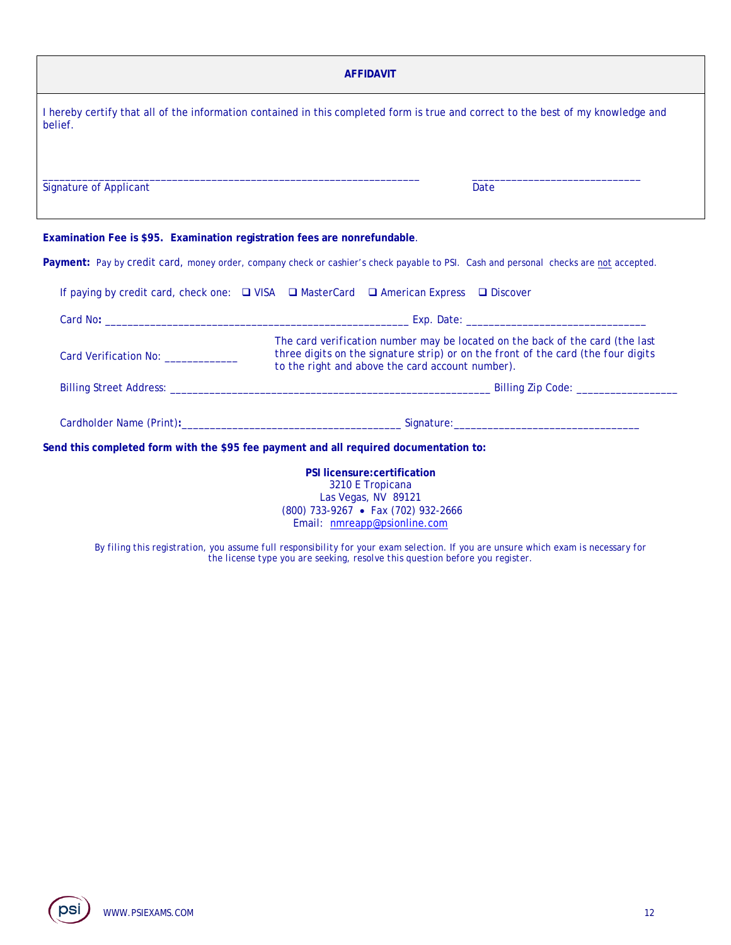| <b>AFFIDAVIT</b>                                                                                                                                                                                                                                                                     |                                                                                                                                       |  |  |  |  |
|--------------------------------------------------------------------------------------------------------------------------------------------------------------------------------------------------------------------------------------------------------------------------------------|---------------------------------------------------------------------------------------------------------------------------------------|--|--|--|--|
| I hereby certify that all of the information contained in this completed form is true and correct to the best of my knowledge and<br>belief.                                                                                                                                         |                                                                                                                                       |  |  |  |  |
| <b>Signature of Applicant</b>                                                                                                                                                                                                                                                        | <b>Date</b>                                                                                                                           |  |  |  |  |
| Examination Fee is \$95. Examination registration fees are nonrefundable.                                                                                                                                                                                                            |                                                                                                                                       |  |  |  |  |
|                                                                                                                                                                                                                                                                                      | Payment: Pay by credit card, money order, company check or cashier's check payable to PSI. Cash and personal checks are not accepted. |  |  |  |  |
|                                                                                                                                                                                                                                                                                      | If paying by credit card, check one: $\Box$ VISA $\Box$ MasterCard $\Box$ American Express $\Box$ Discover                            |  |  |  |  |
|                                                                                                                                                                                                                                                                                      |                                                                                                                                       |  |  |  |  |
| The card verification number may be located on the back of the card (the last<br>three digits on the signature strip) or on the front of the card (the four digits<br>Card Verification No: ____________<br>to the right and above the card account number).                         |                                                                                                                                       |  |  |  |  |
|                                                                                                                                                                                                                                                                                      |                                                                                                                                       |  |  |  |  |
|                                                                                                                                                                                                                                                                                      |                                                                                                                                       |  |  |  |  |
| Send this completed form with the \$95 fee payment and all required documentation to:                                                                                                                                                                                                |                                                                                                                                       |  |  |  |  |
| PSI licensure: certification<br>3210 E Tropicana<br>Las Vegas, NV 89121<br>(800) 733-9267 • Fax (702) 932-2666<br>Email: nmreapp@psionline.com<br>By filing this registration, you assume full responsibility for your exam selection. If you are unsure which exam is necessary for |                                                                                                                                       |  |  |  |  |

*the license type you are seeking, resolve this question before you register.*

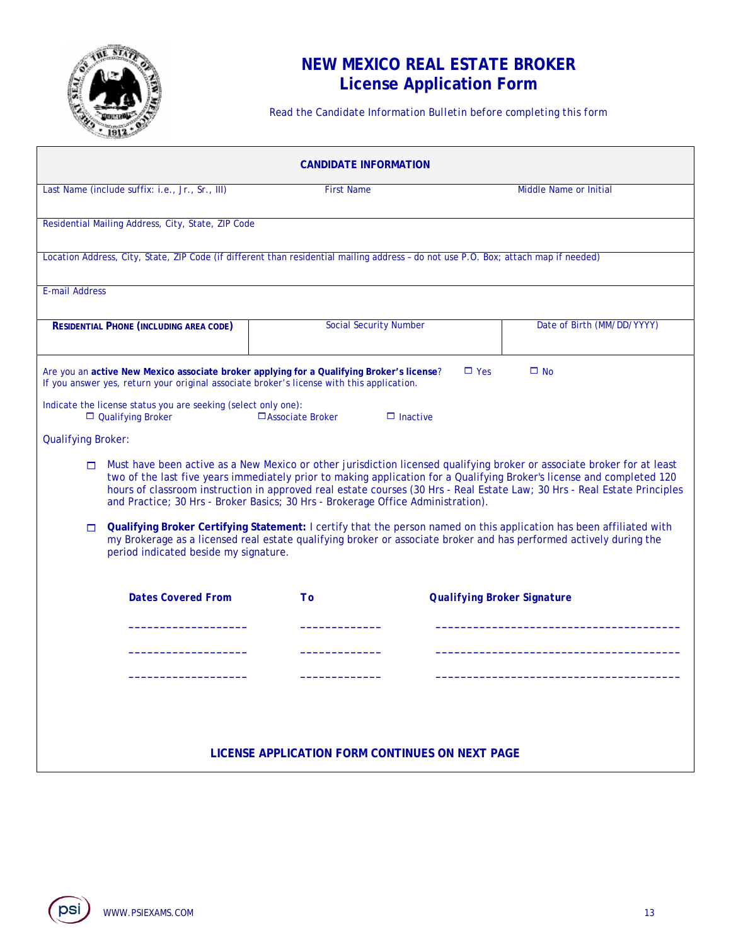

# **NEW MEXICO REAL ESTATE BROKER License Application Form**

*Read the Candidate Information Bulletin before completing this form* 

| <b>CANDIDATE INFORMATION</b>                                                                                                                                                                                                                                                                  |                                                                                                                                                                                                                                                                                                                                       |                                    |                                                                                                                           |  |  |  |  |
|-----------------------------------------------------------------------------------------------------------------------------------------------------------------------------------------------------------------------------------------------------------------------------------------------|---------------------------------------------------------------------------------------------------------------------------------------------------------------------------------------------------------------------------------------------------------------------------------------------------------------------------------------|------------------------------------|---------------------------------------------------------------------------------------------------------------------------|--|--|--|--|
| Last Name (include suffix: i.e., Jr., Sr., III)                                                                                                                                                                                                                                               | <b>First Name</b>                                                                                                                                                                                                                                                                                                                     |                                    | Middle Name or Initial                                                                                                    |  |  |  |  |
| Residential Mailing Address, City, State, ZIP Code                                                                                                                                                                                                                                            |                                                                                                                                                                                                                                                                                                                                       |                                    |                                                                                                                           |  |  |  |  |
| Location Address, City, State, ZIP Code (if different than residential mailing address - do not use P.O. Box; attach map if needed)                                                                                                                                                           |                                                                                                                                                                                                                                                                                                                                       |                                    |                                                                                                                           |  |  |  |  |
| <b>E-mail Address</b>                                                                                                                                                                                                                                                                         |                                                                                                                                                                                                                                                                                                                                       |                                    |                                                                                                                           |  |  |  |  |
| <b>RESIDENTIAL PHONE (INCLUDING AREA CODE)</b>                                                                                                                                                                                                                                                | <b>Social Security Number</b>                                                                                                                                                                                                                                                                                                         |                                    | Date of Birth (MM/DD/YYYY)                                                                                                |  |  |  |  |
| Are you an active New Mexico associate broker applying for a Qualifying Broker's license?<br>If you answer yes, return your original associate broker's license with this application.                                                                                                        |                                                                                                                                                                                                                                                                                                                                       | $\Box$ Yes                         | $\square$ No                                                                                                              |  |  |  |  |
| Indicate the license status you are seeking (select only one):<br>$\Box$ Qualifying Broker                                                                                                                                                                                                    | $\Box$ Associate Broker                                                                                                                                                                                                                                                                                                               | $\Box$ Inactive                    |                                                                                                                           |  |  |  |  |
| <b>Qualifying Broker:</b>                                                                                                                                                                                                                                                                     |                                                                                                                                                                                                                                                                                                                                       |                                    |                                                                                                                           |  |  |  |  |
| $\Box$                                                                                                                                                                                                                                                                                        | Must have been active as a New Mexico or other jurisdiction licensed qualifying broker or associate broker for at least<br>two of the last five years immediately prior to making application for a Qualifying Broker's license and completed 120<br>and Practice; 30 Hrs - Broker Basics; 30 Hrs - Brokerage Office Administration). |                                    | hours of classroom instruction in approved real estate courses (30 Hrs - Real Estate Law; 30 Hrs - Real Estate Principles |  |  |  |  |
| Qualifying Broker Certifying Statement: I certify that the person named on this application has been affiliated with<br>$\Box$<br>my Brokerage as a licensed real estate qualifying broker or associate broker and has performed actively during the<br>period indicated beside my signature. |                                                                                                                                                                                                                                                                                                                                       |                                    |                                                                                                                           |  |  |  |  |
| <b>Dates Covered From</b>                                                                                                                                                                                                                                                                     | T <sub>O</sub>                                                                                                                                                                                                                                                                                                                        | <b>Qualifying Broker Signature</b> |                                                                                                                           |  |  |  |  |
|                                                                                                                                                                                                                                                                                               |                                                                                                                                                                                                                                                                                                                                       |                                    |                                                                                                                           |  |  |  |  |
|                                                                                                                                                                                                                                                                                               |                                                                                                                                                                                                                                                                                                                                       |                                    |                                                                                                                           |  |  |  |  |
|                                                                                                                                                                                                                                                                                               |                                                                                                                                                                                                                                                                                                                                       |                                    |                                                                                                                           |  |  |  |  |
|                                                                                                                                                                                                                                                                                               |                                                                                                                                                                                                                                                                                                                                       |                                    |                                                                                                                           |  |  |  |  |
| LICENSE APPLICATION FORM CONTINUES ON NEXT PAGE                                                                                                                                                                                                                                               |                                                                                                                                                                                                                                                                                                                                       |                                    |                                                                                                                           |  |  |  |  |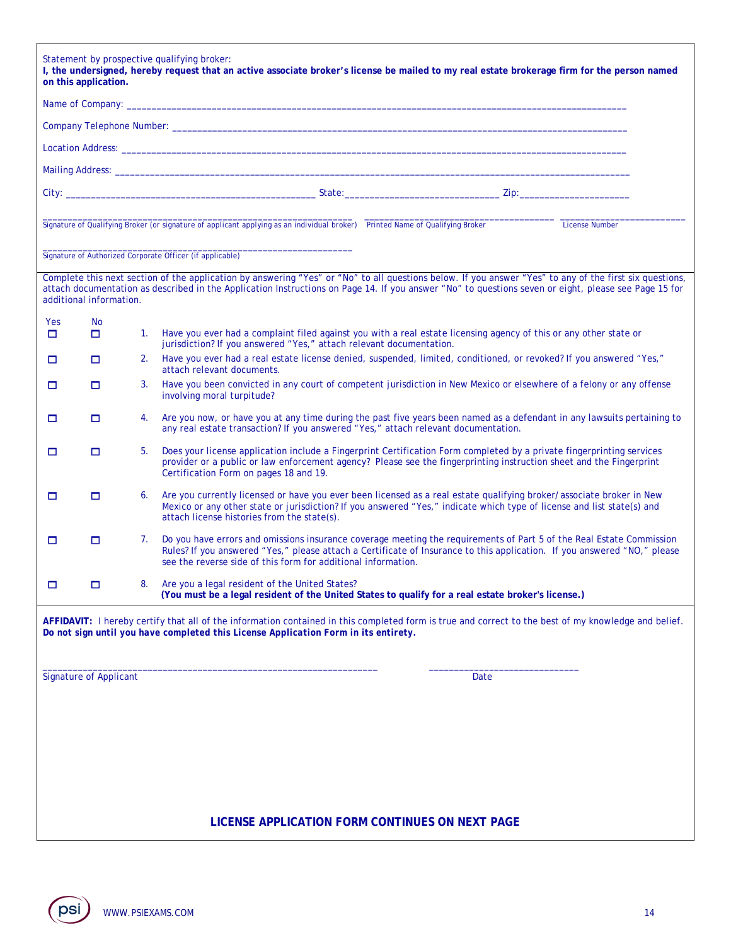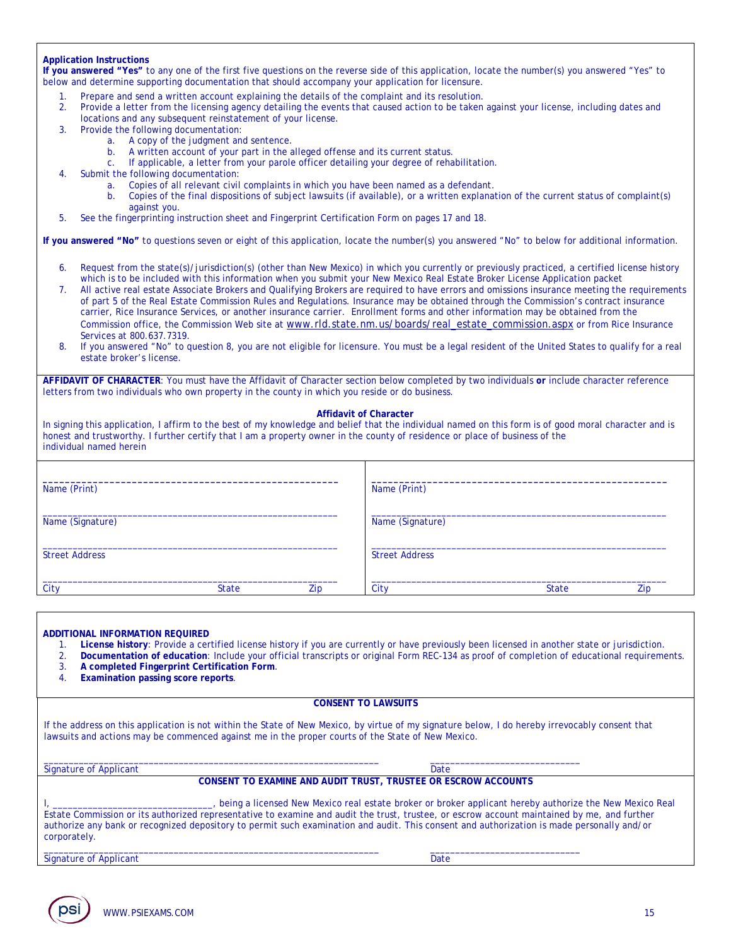#### **Application Instructions**

**If you answered "Yes"** to any one of the first five questions on the reverse side of this application, locate the number(s) you answered "Yes" to below and determine supporting documentation that should accompany your application for licensure.

- Prepare and send a written account explaining the details of the complaint and its resolution.
- 2. Provide a letter from the licensing agency detailing the events that caused action to be taken against your license, including dates and
- locations and any subsequent reinstatement of your license. 3. Provide the following documentation:
	- a. A copy of the judgment and sentence.
		- b. A written account of your part in the alleged offense and its current status.
		- If applicable, a letter from your parole officer detailing your degree of rehabilitation.
- 4. Submit the following documentation:
	- a. Copies of all relevant civil complaints in which you have been named as a defendant.
	- b. Copies of the final dispositions of subject lawsuits (if available), or a written explanation of the current status of complaint(s) against you.
- *5.* See the fingerprinting instruction sheet and Fingerprint Certification Form on pages 17 and 18*.*

**If you answered "No"** to questions seven or eight of this application, locate the number(s) you answered "No" to below for additional information.

- 6. Request from the state(s)/jurisdiction(s) (other than New Mexico) in which you currently or previously practiced, a certified license history which is to be included with this information when you submit your New Mexico Real Estate Broker License Application packet
- 7. All active real estate Associate Brokers and Qualifying Brokers are required to have errors and omissions insurance meeting the requirements of part 5 of the Real Estate Commission Rules and Regulations. Insurance may be obtained through the Commission's contract insurance carrier, Rice Insurance Services, or another insurance carrier. Enrollment forms and other information may be obtained from the Commission office, the Commission Web site at www.rld.state.nm.us/boards/real\_estate\_commission.aspx or from Rice Insurance Services at 800.637.7319.
- 8. If you answered "No" to question 8, you are not eligible for licensure. You must be a legal resident of the United States to qualify for a real estate broker's license.

**AFFIDAVIT OF CHARACTER**: You must have the Affidavit of Character section below completed by two individuals *or* include character reference letters from two individuals who own property in the county in which you reside or do business.

#### **Affidavit of Character**

In signing this application, I affirm to the best of my knowledge and belief that the individual named on this form is of good moral character and is honest and trustworthy. I further certify that I am a property owner in the county of residence or place of business of the individual named herein

| Name (Print)          |              |     | Name (Print)          |              |     |
|-----------------------|--------------|-----|-----------------------|--------------|-----|
| Name (Signature)      |              |     | Name (Signature)      |              |     |
| <b>Street Address</b> |              |     | <b>Street Address</b> |              |     |
| City                  | <b>State</b> | Zip | City                  | <b>State</b> | Zip |

#### **ADDITIONAL INFORMATION REQUIRED**

- 1. **License history**: Provide a certified license history if you are currently or have previously been licensed in another state or jurisdiction.
- 2. **Documentation of education**: Include your official transcripts or original Form REC-134 as proof of completion of educational requirements. 3. **A completed Fingerprint Certification Form**.
- 
- 4. **Examination passing score reports**.

#### **CONSENT TO LAWSUITS**

If the address on this application is not within the State of New Mexico, by virtue of my signature below, I do hereby irrevocably consent that lawsuits and actions may be commenced against me in the proper courts of the State of New Mexico.

\_\_\_\_\_\_\_\_\_\_\_\_\_\_\_\_\_\_\_\_\_\_\_\_\_\_\_\_\_\_\_\_\_\_\_\_\_\_\_\_\_\_\_\_\_\_\_\_\_\_\_\_\_\_\_\_\_\_\_\_\_\_\_\_\_\_\_ \_\_\_\_\_\_\_\_\_\_\_\_\_\_\_\_\_\_\_\_\_\_\_\_\_\_\_\_\_\_

Signature of Applicant Date of Applicant Date of Applicant Date of Applicant Date of Applicant Date of Applicant Date of Applicant Date of Applicant Date of Applicant Date of Applicant Date of Applicant Date of Applicant D

**CONSENT TO EXAMINE AND AUDIT TRUST, TRUSTEE OR ESCROW ACCOUNTS** 

| , being a licensed New Mexico real estate broker or broker applicant hereby authorize the New Mexico Real                                   |
|---------------------------------------------------------------------------------------------------------------------------------------------|
| Estate Commission or its authorized representative to examine and audit the trust, trustee, or escrow account maintained by me, and further |
| authorize any bank or recognized depository to permit such examination and audit. This consent and authorization is made personally and/or  |
| corporately.                                                                                                                                |
|                                                                                                                                             |

Signature of Applicant Date Date Date Date Date Date

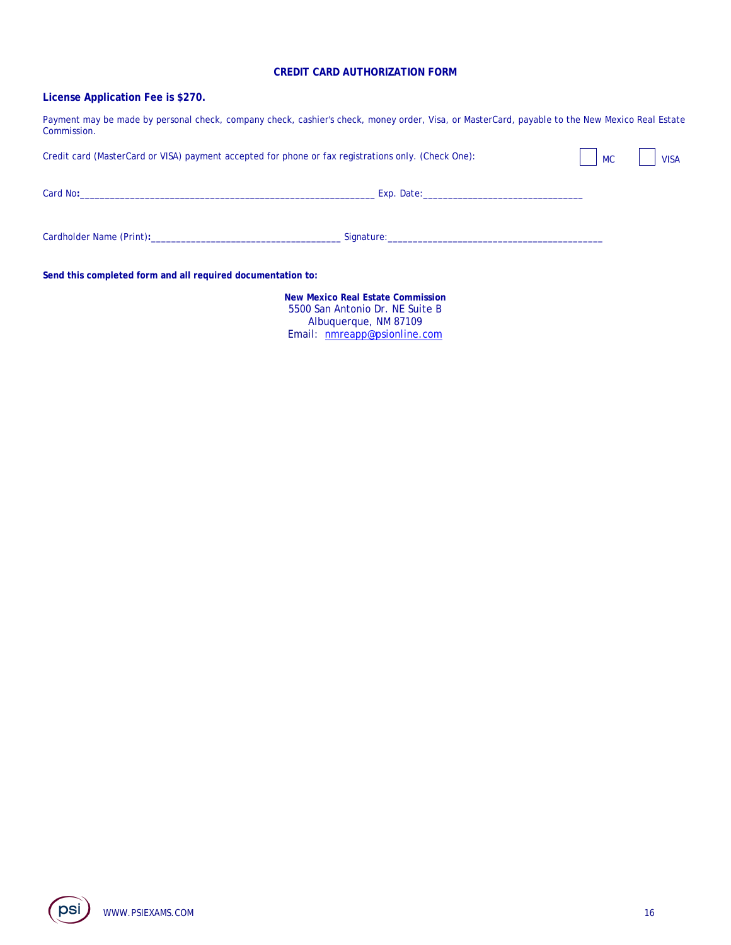### **CREDIT CARD AUTHORIZATION FORM**

# **License Application Fee is \$270.**

Payment may be made by personal check, company check, cashier's check, money order, Visa, or MasterCard, payable to the New Mexico Real Estate Commission.

| Credit card (MasterCard or VISA) payment accepted for phone or fax registrations only. (Check One):                                                                                                                                       |                                                                                                                                                                                                                                | <b>MC</b> | <b>VISA</b> |
|-------------------------------------------------------------------------------------------------------------------------------------------------------------------------------------------------------------------------------------------|--------------------------------------------------------------------------------------------------------------------------------------------------------------------------------------------------------------------------------|-----------|-------------|
| Card No:<br>the control of the control of the control of the control of the control of the control of the control of the control of the control of the control of the control of the control of the control of the control of the control | Exp. Date: the contract of the contract of the contract of the contract of the contract of the contract of the                                                                                                                 |           |             |
| Cardholder Name (Print): Early 2008 and the Cardholder Name (Print):                                                                                                                                                                      | Signature: the contract of the contract of the contract of the contract of the contract of the contract of the contract of the contract of the contract of the contract of the contract of the contract of the contract of the |           |             |

**Send this completed form and all required documentation to:** 

**New Mexico Real Estate Commission**  5500 San Antonio Dr. NE Suite B Albuquerque, NM 87109 Email: nmreapp@psionline.com

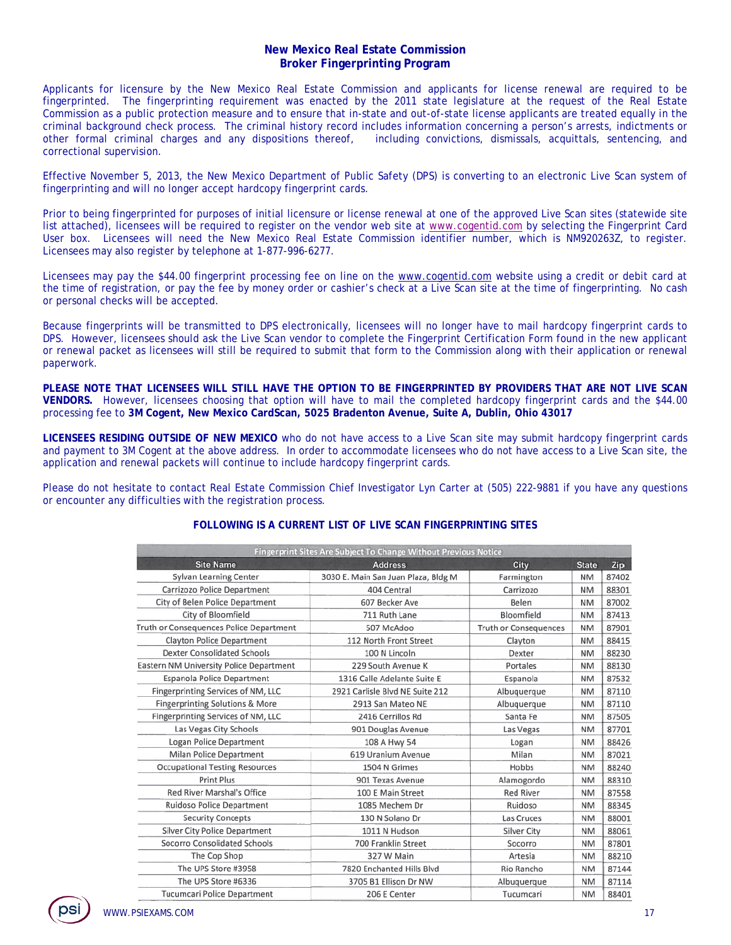# **New Mexico Real Estate Commission Broker Fingerprinting Program**

Applicants for licensure by the New Mexico Real Estate Commission and applicants for license renewal are required to be fingerprinted. The fingerprinting requirement was enacted by the 2011 state legislature at the request of the Real Estate Commission as a public protection measure and to ensure that in-state and out-of-state license applicants are treated equally in the criminal background check process. The criminal history record includes information concerning a person's arrests, indictments or other formal criminal charges and any dispositions thereof, including convictions, dismissals, acquittals, sentencing, and correctional supervision.

Effective November 5, 2013, the New Mexico Department of Public Safety (DPS) is converting to an electronic Live Scan system of fingerprinting and will no longer accept hardcopy fingerprint cards.

Prior to being fingerprinted for purposes of initial licensure or license renewal at one of the approved Live Scan sites (statewide site list attached), licensees will be required to register on the vendor web site at www.cogentid.com by selecting the Fingerprint Card User box. Licensees will need the New Mexico Real Estate Commission identifier number, which is NM920263Z, to register. Licensees may also register by telephone at 1-877-996-6277.

Licensees may pay the \$44.00 fingerprint processing fee on line on the www.cogentid.com website using a credit or debit card at the time of registration, or pay the fee by money order or cashier's check at a Live Scan site at the time of fingerprinting. No cash or personal checks will be accepted.

Because fingerprints will be transmitted to DPS electronically, licensees will no longer have to mail hardcopy fingerprint cards to DPS. However, licensees should ask the Live Scan vendor to complete the Fingerprint Certification Form found in the new applicant or renewal packet as licensees will still be required to submit that form to the Commission along with their application or renewal paperwork.

**PLEASE NOTE THAT LICENSEES WILL STILL HAVE THE OPTION TO BE FINGERPRINTED BY PROVIDERS THAT ARE NOT LIVE SCAN VENDORS.** However, licensees choosing that option will have to mail the completed hardcopy fingerprint cards and the \$44.00 processing fee to **3M Cogent, New Mexico CardScan, 5025 Bradenton Avenue, Suite A, Dublin, Ohio 43017** 

**LICENSEES RESIDING OUTSIDE OF NEW MEXICO** who do not have access to a Live Scan site may submit hardcopy fingerprint cards and payment to 3M Cogent at the above address. In order to accommodate licensees who do not have access to a Live Scan site, the application and renewal packets will continue to include hardcopy fingerprint cards.

Please do not hesitate to contact Real Estate Commission Chief Investigator Lyn Carter at (505) 222-9881 if you have any questions or encounter any difficulties with the registration process.

# **FOLLOWING IS A CURRENT LIST OF LIVE SCAN FINGERPRINTING SITES**

| Fingerprint Sites Are Subject To Change Without Previous Notice |                                     |                              |              |       |  |  |  |
|-----------------------------------------------------------------|-------------------------------------|------------------------------|--------------|-------|--|--|--|
| <b>Site Name</b>                                                | <b>Address</b>                      | City                         | <b>State</b> | Zip.  |  |  |  |
| Sylvan Learning Center                                          | 3030 E. Main San Juan Plaza, Bldg M | Farmington                   | <b>NM</b>    | 87402 |  |  |  |
| Carrizozo Police Department                                     | 404 Central                         | Carrizozo                    | <b>NM</b>    | 88301 |  |  |  |
| City of Belen Police Department                                 | 607 Becker Ave                      | Belen                        | NM           | 87002 |  |  |  |
| City of Bloomfield                                              | 711 Ruth Lane                       | Bloomfield                   | <b>NM</b>    | 87413 |  |  |  |
| Truth or Consequences Police Department                         | 507 McAdoo                          | <b>Truth or Consequences</b> | <b>NM</b>    | 87901 |  |  |  |
| Clayton Police Department                                       | 112 North Front Street              | Clayton                      | <b>NM</b>    | 88415 |  |  |  |
| <b>Dexter Consolidated Schools</b>                              | 100 N Lincoln                       | Dexter                       | <b>NM</b>    | 88230 |  |  |  |
| Eastern NM University Police Department                         | 229 South Avenue K                  | Portales                     | <b>NM</b>    | 88130 |  |  |  |
| Espanola Police Department                                      | 1316 Calle Adelante Suite E         | Espanola                     | <b>NM</b>    | 87532 |  |  |  |
| Fingerprinting Services of NM, LLC                              | 2921 Carlisle Blvd NE Suite 212     | Albuguergue                  | <b>NM</b>    | 87110 |  |  |  |
| Fingerprinting Solutions & More                                 | 2913 San Mateo NE                   | Albuquerque                  | <b>NM</b>    | 87110 |  |  |  |
| Fingerprinting Services of NM, LLC                              | 2416 Cerrillos Rd                   | Santa Fe                     | <b>NM</b>    | 87505 |  |  |  |
| Las Vegas City Schools                                          | 901 Douglas Avenue                  | Las Vegas                    | <b>NM</b>    | 87701 |  |  |  |
| Logan Police Department                                         | 108 A Hwy 54                        | Logan                        | <b>NM</b>    | 88426 |  |  |  |
| <b>Milan Police Department</b>                                  | 619 Uranium Avenue                  | Milan                        | <b>NM</b>    | 87021 |  |  |  |
| <b>Occupational Testing Resources</b>                           | 1504 N Grimes                       | Hobbs                        | <b>NM</b>    | 88240 |  |  |  |
| <b>Print Plus</b>                                               | 901 Texas Avenue                    | Alamogordo                   | <b>NM</b>    | 88310 |  |  |  |
| Red River Marshal's Office                                      | 100 E Main Street                   | <b>Red River</b>             | <b>NM</b>    | 87558 |  |  |  |
| <b>Ruidoso Police Department</b>                                | 1085 Mechem Dr                      | Ruidoso                      | <b>NM</b>    | 88345 |  |  |  |
| <b>Security Concepts</b>                                        | 130 N Solano Dr                     | Las Cruces                   | <b>NM</b>    | 88001 |  |  |  |
| <b>Silver City Police Department</b>                            | 1011 N Hudson                       | <b>Silver City</b>           | <b>NM</b>    | 88061 |  |  |  |
| Socorro Consolidated Schools                                    | 700 Franklin Street                 | Socorro                      | ΝM           | 87801 |  |  |  |
| The Cop Shop                                                    | 327 W Main                          | Artesia                      | <b>NM</b>    | 88210 |  |  |  |
| The UPS Store #3958                                             | 7820 Enchanted Hills Blvd           | Rio Rancho                   | NΜ           | 87144 |  |  |  |
| The UPS Store #6336                                             | 3705 B1 Ellison Dr NW               | Albuquerque                  | <b>NM</b>    | 87114 |  |  |  |
| <b>Tucumcari Police Department</b>                              | 206 E Center                        | Tucumcari                    | <b>NM</b>    | 88401 |  |  |  |

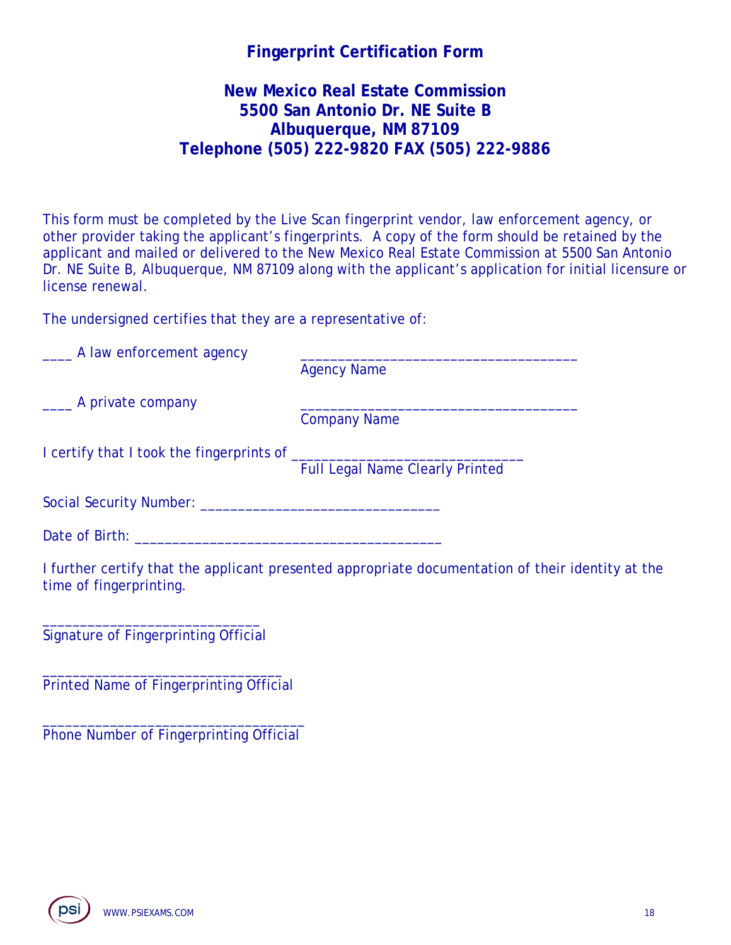# **Fingerprint Certification Form**

# **New Mexico Real Estate Commission 5500 San Antonio Dr. NE Suite B Albuquerque, NM 87109 Telephone (505) 222-9820 FAX (505) 222-9886**

This form must be completed by the Live Scan fingerprint vendor, law enforcement agency, or other provider taking the applicant's fingerprints. A copy of the form should be retained by the applicant and mailed or delivered to the New Mexico Real Estate Commission at 5500 San Antonio Dr. NE Suite B, Albuquerque, NM 87109 along with the applicant's application for initial licensure or license renewal.

The undersigned certifies that they are a representative of:

| ______ A law enforcement agency |                                                                                                   |
|---------------------------------|---------------------------------------------------------------------------------------------------|
|                                 | <b>Agency Name</b>                                                                                |
| _____ A private company         |                                                                                                   |
|                                 | <b>Company Name</b>                                                                               |
|                                 |                                                                                                   |
|                                 | <b>Full Legal Name Clearly Printed</b>                                                            |
|                                 |                                                                                                   |
|                                 |                                                                                                   |
| time of fingerprinting.         | I further certify that the applicant presented appropriate documentation of their identity at the |
|                                 |                                                                                                   |

Signature of Fingerprinting Official

\_\_\_\_\_\_\_\_\_\_\_\_\_\_\_\_\_\_\_\_\_\_\_\_\_\_\_\_\_\_\_\_ Printed Name of Fingerprinting Official

\_\_\_\_\_\_\_\_\_\_\_\_\_\_\_\_\_\_\_\_\_\_\_\_\_\_\_\_\_\_\_\_\_\_\_ Phone Number of Fingerprinting Official

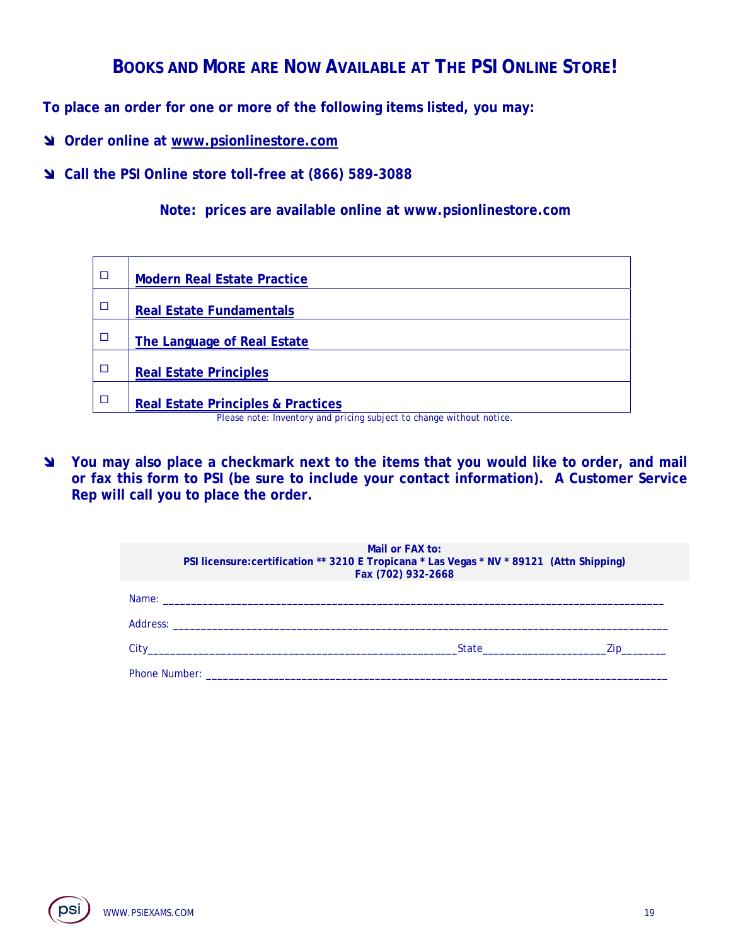# **BOOKS AND MORE ARE NOW AVAILABLE AT THE PSI ONLINE STORE!**

**To place an order for one or more of the following items listed, you may:** 

- **Order online at www.psionlinestore.com**
- **Call the PSI Online store toll-free at (866) 589-3088**

**Note: prices are available online at www.psionlinestore.com** 

| $\Box$                                                               | <b>Modern Real Estate Practice</b>            |  |
|----------------------------------------------------------------------|-----------------------------------------------|--|
| $\Box$                                                               | <b>Real Estate Fundamentals</b>               |  |
| $\Box$                                                               | The Language of Real Estate                   |  |
| □                                                                    | <b>Real Estate Principles</b>                 |  |
| □                                                                    | <b>Real Estate Principles &amp; Practices</b> |  |
| Please note: Inventory and pricing subject to change without notice. |                                               |  |

 **You may also place a checkmark next to the items that you would like to order, and mail or fax this form to PSI (be sure to include your contact information). A Customer Service Rep will call you to place the order.** 

| Mail or FAX to:<br>PSI licensure: certification ** 3210 E Tropicana * Las Vegas * NV * 89121 (Attn Shipping)<br>Fax (702) 932-2668                                                                                                  |           |  |
|-------------------------------------------------------------------------------------------------------------------------------------------------------------------------------------------------------------------------------------|-----------|--|
|                                                                                                                                                                                                                                     |           |  |
|                                                                                                                                                                                                                                     |           |  |
|                                                                                                                                                                                                                                     | State Zip |  |
| <b>Phone Number:</b> The contract of the contract of the contract of the contract of the contract of the contract of the contract of the contract of the contract of the contract of the contract of the contract of the contract o |           |  |

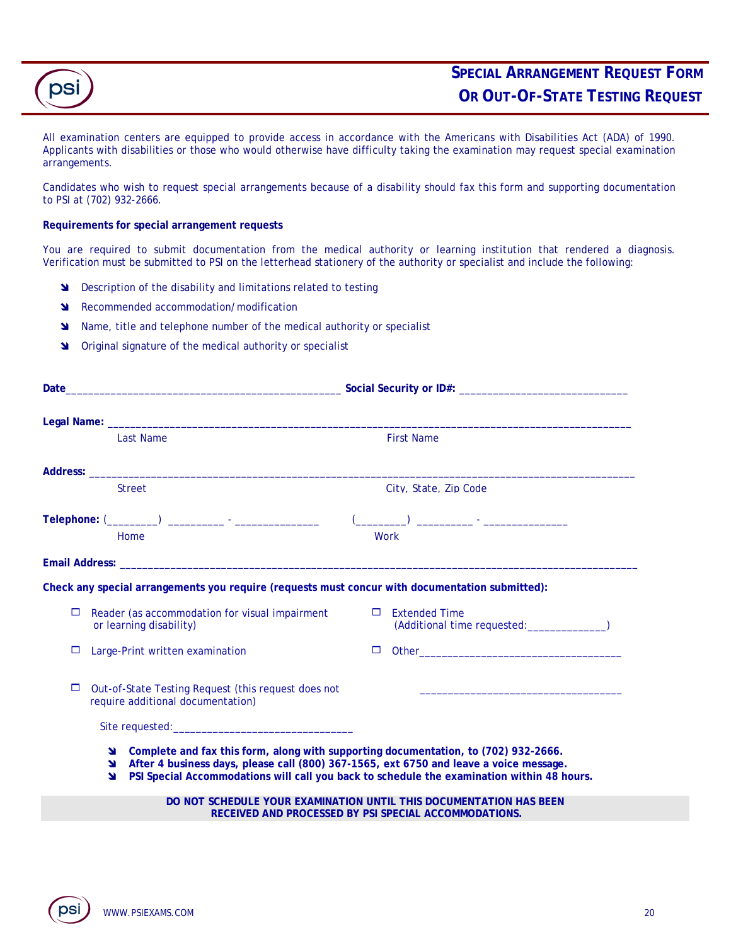

All examination centers are equipped to provide access in accordance with the Americans with Disabilities Act (ADA) of 1990. Applicants with disabilities or those who would otherwise have difficulty taking the examination may request special examination arrangements.

Candidates who wish to request special arrangements because of a disability should fax this form and supporting documentation to PSI at (702) 932-2666.

#### **Requirements for special arrangement requests**

You are required to submit documentation from the medical authority or learning institution that rendered a diagnosis. Verification must be submitted to PSI on the letterhead stationery of the authority or specialist and include the following:

- **N** Description of the disability and limitations related to testing
- **N** Recommended accommodation/modification
- Name, title and telephone number of the medical authority or specialist
- **S** Original signature of the medical authority or specialist

|             | <b>Last Name</b>                                                                                                                                                                                                               | <b>First Name</b>                                                                                                                                                                                                                                                           |
|-------------|--------------------------------------------------------------------------------------------------------------------------------------------------------------------------------------------------------------------------------|-----------------------------------------------------------------------------------------------------------------------------------------------------------------------------------------------------------------------------------------------------------------------------|
|             | Address: the contract of the contract of the contract of the contract of the contract of the contract of the contract of the contract of the contract of the contract of the contract of the contract of the contract of the c |                                                                                                                                                                                                                                                                             |
|             | <b>Street</b>                                                                                                                                                                                                                  | City, State, Zip Code                                                                                                                                                                                                                                                       |
|             |                                                                                                                                                                                                                                | and the contract of the contract of the contract of the contract of the contract of the contract of the contract of                                                                                                                                                         |
|             | Home                                                                                                                                                                                                                           | Work                                                                                                                                                                                                                                                                        |
|             |                                                                                                                                                                                                                                |                                                                                                                                                                                                                                                                             |
|             | Check any special arrangements you require (requests must concur with documentation submitted):                                                                                                                                |                                                                                                                                                                                                                                                                             |
| □           | Reader (as accommodation for visual impairment<br>or learning disability)                                                                                                                                                      | $\Box$ Extended Time<br>(Additional time requested: _______________)                                                                                                                                                                                                        |
| □           | Large-Print written examination                                                                                                                                                                                                | □                                                                                                                                                                                                                                                                           |
| □           | Out-of-State Testing Request (this request does not<br>require additional documentation)                                                                                                                                       |                                                                                                                                                                                                                                                                             |
|             |                                                                                                                                                                                                                                |                                                                                                                                                                                                                                                                             |
| ¥<br>N<br>N |                                                                                                                                                                                                                                | Complete and fax this form, along with supporting documentation, to (702) 932-2666.<br>After 4 business days, please call (800) 367-1565, ext 6750 and leave a voice message.<br>PSI Special Accommodations will call you back to schedule the examination within 48 hours. |
|             |                                                                                                                                                                                                                                | DO NOT SCHEDULE YOUR EXAMINATION UNTIL THIS DOCUMENTATION HAS BEEN<br>RECEIVED AND PROCESSED BY PSI SPECIAL ACCOMMODATIONS.                                                                                                                                                 |